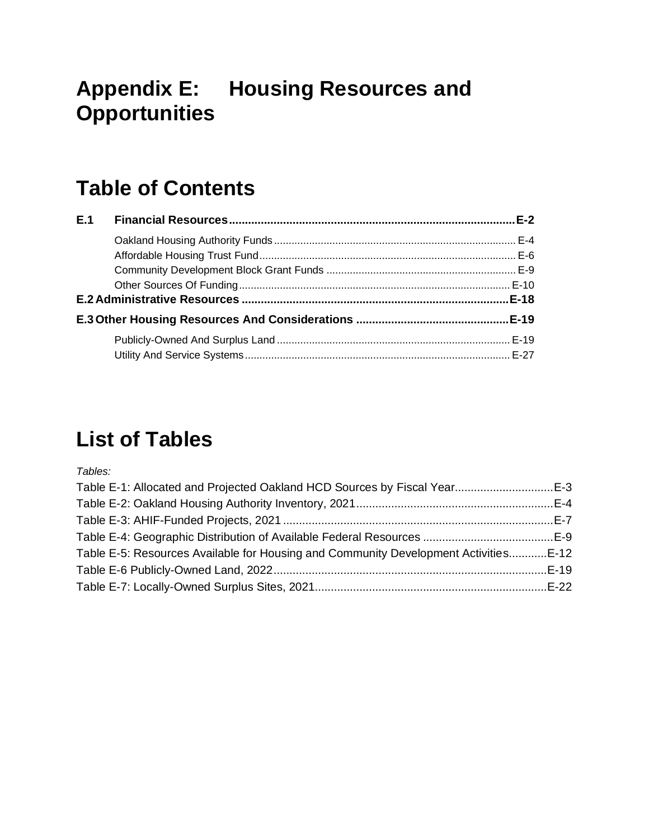# **Appendix E: Housing Resources and Opportunities**

# **Table of Contents**

| E.1 <b>Comment</b> |  |
|--------------------|--|
|                    |  |
|                    |  |
|                    |  |
|                    |  |
|                    |  |
|                    |  |
|                    |  |
|                    |  |

# **List of Tables**

*Tables:*

| Table E-1: Allocated and Projected Oakland HCD Sources by Fiscal YearE-3             |  |
|--------------------------------------------------------------------------------------|--|
|                                                                                      |  |
|                                                                                      |  |
|                                                                                      |  |
| Table E-5: Resources Available for Housing and Community Development Activities E-12 |  |
|                                                                                      |  |
|                                                                                      |  |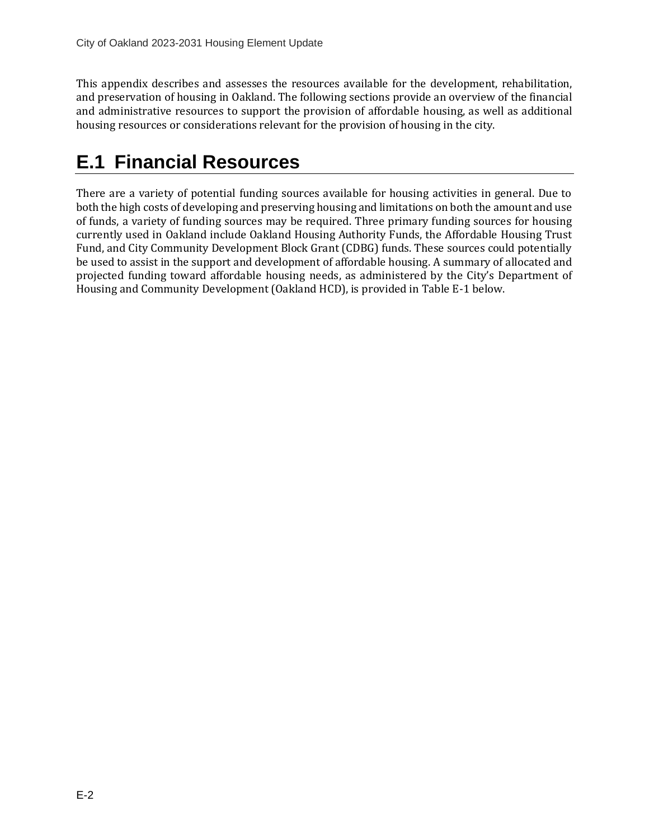<span id="page-1-0"></span>This appendix describes and assesses the resources available for the development, rehabilitation, and preservation of housing in Oakland. The following sections provide an overview of the financial and administrative resources to support the provision of affordable housing, as well as additional housing resources or considerations relevant for the provision of housing in the city.

# **E.1 Financial Resources**

There are a variety of potential funding sources available for housing activities in general. Due to both the high costs of developing and preserving housing and limitations on both the amount and use of funds, a variety of funding sources may be required. Three primary funding sources for housing currently used in Oakland include Oakland Housing Authority Funds, the Affordable Housing Trust Fund, and City Community Development Block Grant (CDBG) funds. These sources could potentially be used to assist in the support and development of affordable housing. A summary of allocated and projected funding toward affordable housing needs, as administered by the City's Department of Housing and Community Development (Oakland HCD), is provided in Table E-1 below.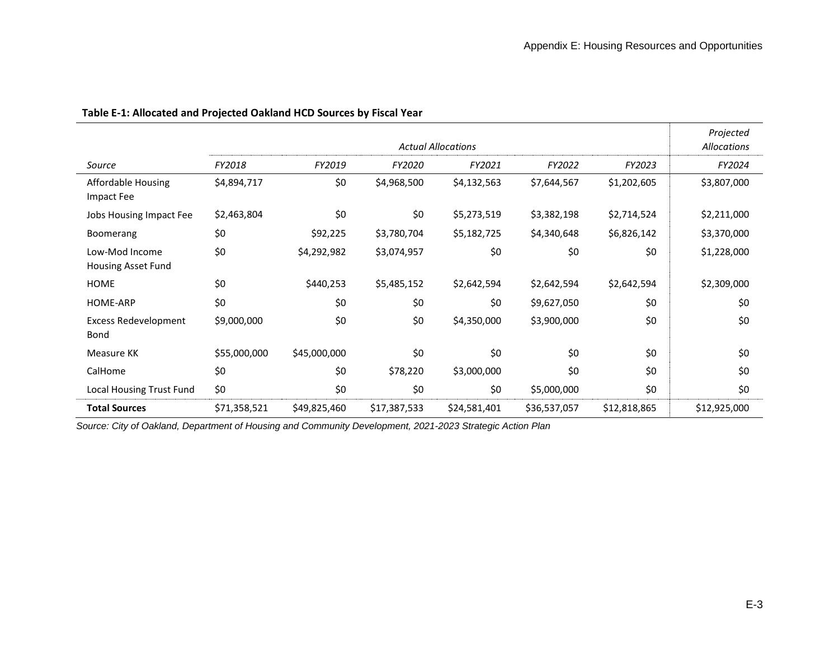|                                            |              |              |              | <b>Actual Allocations</b> |              |              | Projected<br>Allocations |
|--------------------------------------------|--------------|--------------|--------------|---------------------------|--------------|--------------|--------------------------|
| Source                                     | FY2018       | FY2019       | FY2020       | FY2021                    | FY2022       | FY2023       | FY2024                   |
| <b>Affordable Housing</b><br>Impact Fee    | \$4,894,717  | \$0          | \$4,968,500  | \$4,132,563               | \$7,644,567  | \$1,202,605  | \$3,807,000              |
| Jobs Housing Impact Fee                    | \$2,463,804  | \$0          | \$0          | \$5,273,519               | \$3,382,198  | \$2,714,524  | \$2,211,000              |
| Boomerang                                  | \$0          | \$92,225     | \$3,780,704  | \$5,182,725               | \$4,340,648  | \$6,826,142  | \$3,370,000              |
| Low-Mod Income<br>Housing Asset Fund       | \$0          | \$4,292,982  | \$3,074,957  | \$0                       | \$0          | \$0          | \$1,228,000              |
| HOME                                       | \$0          | \$440,253    | \$5,485,152  | \$2,642,594               | \$2,642,594  | \$2,642,594  | \$2,309,000              |
| HOME-ARP                                   | \$0          | \$0          | \$0          | \$0                       | \$9,627,050  | \$0          | \$0                      |
| <b>Excess Redevelopment</b><br><b>Bond</b> | \$9,000,000  | \$0          | \$0          | \$4,350,000               | \$3,900,000  | \$0          | \$0                      |
| Measure KK                                 | \$55,000,000 | \$45,000,000 | \$0          | \$0                       | \$0          | \$0          | \$0                      |
| CalHome                                    | \$0          | \$0          | \$78,220     | \$3,000,000               | \$0          | \$0          | \$0                      |
| <b>Local Housing Trust Fund</b>            | \$0          | \$0          | \$0          | \$0                       | \$5,000,000  | \$0          | \$0                      |
| <b>Total Sources</b>                       | \$71,358,521 | \$49,825,460 | \$17,387,533 | \$24,581,401              | \$36,537,057 | \$12,818,865 | \$12,925,000             |

<span id="page-2-0"></span>*Source: City of Oakland, Department of Housing and Community Development, 2021-2023 Strategic Action Plan*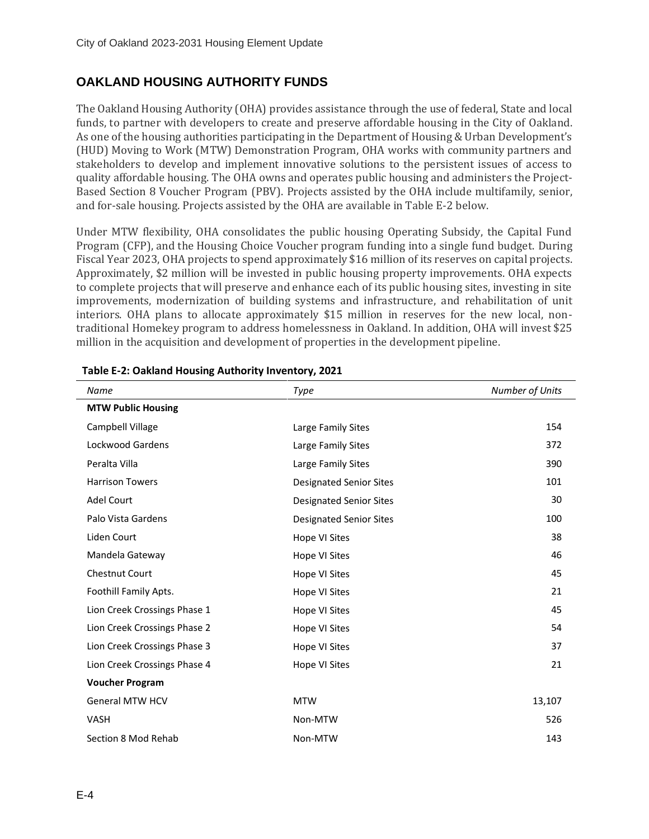### <span id="page-3-0"></span>**OAKLAND HOUSING AUTHORITY FUNDS**

The Oakland Housing Authority (OHA) provides assistance through the use of federal, State and local funds, to partner with developers to create and preserve affordable housing in the City of Oakland. As one of the housing authorities participating in the Department of Housing & Urban Development's (HUD) Moving to Work (MTW) Demonstration Program, OHA works with community partners and stakeholders to develop and implement innovative solutions to the persistent issues of access to quality affordable housing. The OHA owns and operates public housing and administers the Project-Based Section 8 Voucher Program (PBV). Projects assisted by the OHA include multifamily, senior, and for-sale housing. Projects assisted by the OHA are available in Table E-2 below.

Under MTW flexibility, OHA consolidates the public housing Operating Subsidy, the Capital Fund Program (CFP), and the Housing Choice Voucher program funding into a single fund budget. During Fiscal Year 2023, OHA projects to spend approximately \$16 million of its reserves on capital projects. Approximately, \$2 million will be invested in public housing property improvements. OHA expects to complete projects that will preserve and enhance each of its public housing sites, investing in site improvements, modernization of building systems and infrastructure, and rehabilitation of unit interiors. OHA plans to allocate approximately \$15 million in reserves for the new local, nontraditional Homekey program to address homelessness in Oakland. In addition, OHA will invest \$25 million in the acquisition and development of properties in the development pipeline.

| Name                         | Type                           | Number of Units |
|------------------------------|--------------------------------|-----------------|
| <b>MTW Public Housing</b>    |                                |                 |
| Campbell Village             | Large Family Sites             | 154             |
| <b>Lockwood Gardens</b>      | Large Family Sites             | 372             |
| Peralta Villa                | Large Family Sites             | 390             |
| <b>Harrison Towers</b>       | <b>Designated Senior Sites</b> | 101             |
| <b>Adel Court</b>            | <b>Designated Senior Sites</b> | 30              |
| Palo Vista Gardens           | <b>Designated Senior Sites</b> | 100             |
| Liden Court                  | Hope VI Sites                  | 38              |
| Mandela Gateway              | Hope VI Sites                  | 46              |
| Chestnut Court               | Hope VI Sites                  | 45              |
| Foothill Family Apts.        | Hope VI Sites                  | 21              |
| Lion Creek Crossings Phase 1 | Hope VI Sites                  | 45              |
| Lion Creek Crossings Phase 2 | Hope VI Sites                  | 54              |
| Lion Creek Crossings Phase 3 | Hope VI Sites                  | 37              |
| Lion Creek Crossings Phase 4 | Hope VI Sites                  | 21              |
| <b>Voucher Program</b>       |                                |                 |
| <b>General MTW HCV</b>       | <b>MTW</b>                     | 13,107          |
| <b>VASH</b>                  | Non-MTW                        | 526             |
| Section 8 Mod Rehab          | Non-MTW                        | 143             |

#### <span id="page-3-1"></span>**Table E-2: Oakland Housing Authority Inventory, 2021**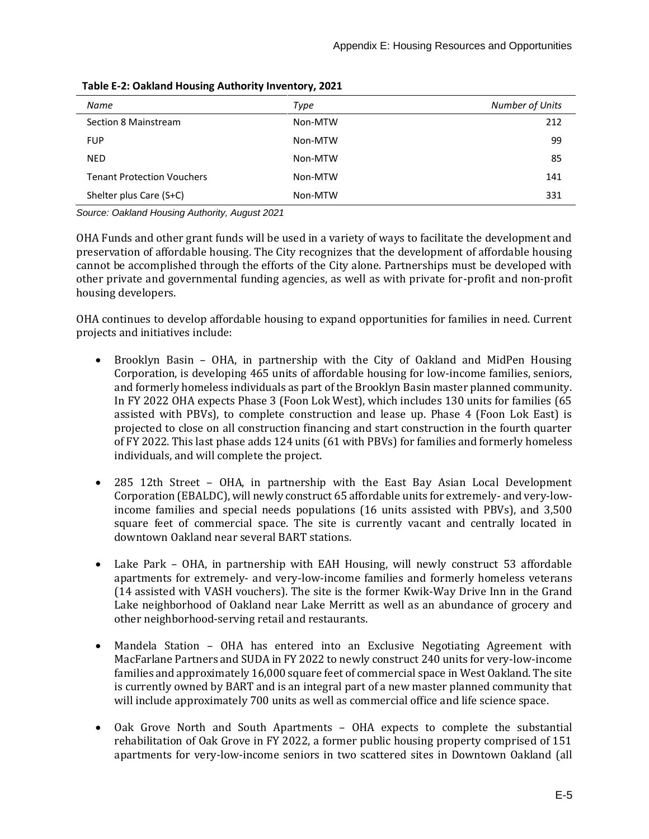| Name                              | Type    | Number of Units |
|-----------------------------------|---------|-----------------|
| Section 8 Mainstream              | Non-MTW | 212             |
| <b>FUP</b>                        | Non-MTW | 99              |
| <b>NED</b>                        | Non-MTW | 85              |
| <b>Tenant Protection Vouchers</b> | Non-MTW | 141             |
| Shelter plus Care (S+C)           | Non-MTW | 331             |

**Table E-2: Oakland Housing Authority Inventory, 2021**

*Source: Oakland Housing Authority, August 2021*

OHA Funds and other grant funds will be used in a variety of ways to facilitate the development and preservation of affordable housing. The City recognizes that the development of affordable housing cannot be accomplished through the efforts of the City alone. Partnerships must be developed with other private and governmental funding agencies, as well as with private for-profit and non-profit housing developers.

OHA continues to develop affordable housing to expand opportunities for families in need. Current projects and initiatives include:

- Brooklyn Basin OHA, in partnership with the City of Oakland and MidPen Housing Corporation, is developing 465 units of affordable housing for low-income families, seniors, and formerly homeless individuals as part of the Brooklyn Basin master planned community. In FY 2022 OHA expects Phase 3 (Foon Lok West), which includes 130 units for families (65 assisted with PBVs), to complete construction and lease up. Phase 4 (Foon Lok East) is projected to close on all construction financing and start construction in the fourth quarter of FY 2022. This last phase adds 124 units (61 with PBVs) for families and formerly homeless individuals, and will complete the project.
- 285 12th Street OHA, in partnership with the East Bay Asian Local Development Corporation (EBALDC), will newly construct 65 affordable units for extremely- and very-lowincome families and special needs populations (16 units assisted with PBVs), and 3,500 square feet of commercial space. The site is currently vacant and centrally located in downtown Oakland near several BART stations.
- Lake Park OHA, in partnership with EAH Housing, will newly construct 53 affordable apartments for extremely- and very-low-income families and formerly homeless veterans (14 assisted with VASH vouchers). The site is the former Kwik-Way Drive Inn in the Grand Lake neighborhood of Oakland near Lake Merritt as well as an abundance of grocery and other neighborhood-serving retail and restaurants.
- Mandela Station OHA has entered into an Exclusive Negotiating Agreement with MacFarlane Partners and SUDA in FY 2022 to newly construct 240 units for very-low-income families and approximately 16,000 square feet of commercial space in West Oakland. The site is currently owned by BART and is an integral part of a new master planned community that will include approximately 700 units as well as commercial office and life science space.
- Oak Grove North and South Apartments OHA expects to complete the substantial rehabilitation of Oak Grove in FY 2022, a former public housing property comprised of 151 apartments for very-low-income seniors in two scattered sites in Downtown Oakland (all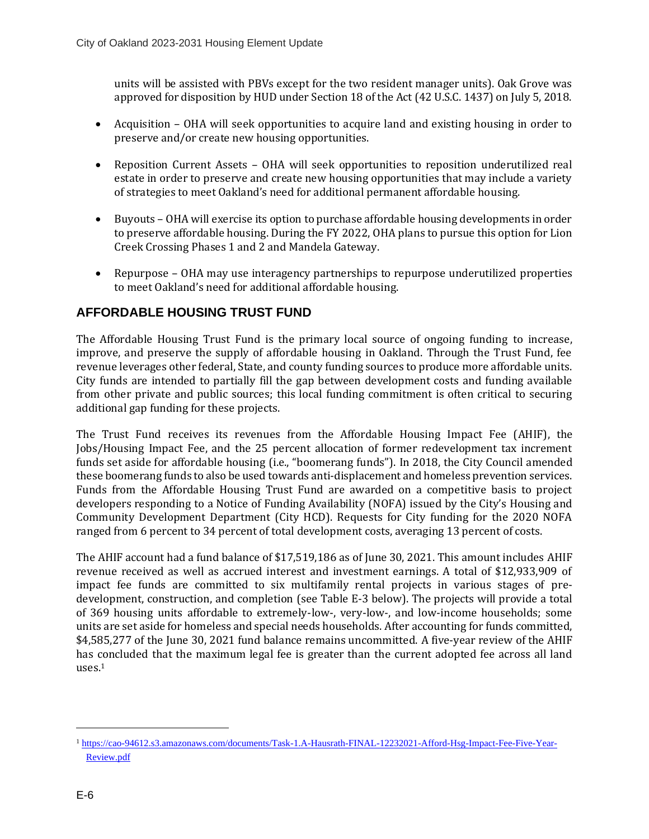units will be assisted with PBVs except for the two resident manager units). Oak Grove was approved for disposition by HUD under Section 18 of the Act (42 U.S.C. 1437) on July 5, 2018.

- Acquisition OHA will seek opportunities to acquire land and existing housing in order to preserve and/or create new housing opportunities.
- Reposition Current Assets OHA will seek opportunities to reposition underutilized real estate in order to preserve and create new housing opportunities that may include a variety of strategies to meet Oakland's need for additional permanent affordable housing.
- Buyouts OHA will exercise its option to purchase affordable housing developments in order to preserve affordable housing. During the FY 2022, OHA plans to pursue this option for Lion Creek Crossing Phases 1 and 2 and Mandela Gateway.
- Repurpose OHA may use interagency partnerships to repurpose underutilized properties to meet Oakland's need for additional affordable housing.

### <span id="page-5-0"></span>**AFFORDABLE HOUSING TRUST FUND**

The Affordable Housing Trust Fund is the primary local source of ongoing funding to increase, improve, and preserve the supply of affordable housing in Oakland. Through the Trust Fund, fee revenue leverages other federal, State, and county funding sources to produce more affordable units. City funds are intended to partially fill the gap between development costs and funding available from other private and public sources; this local funding commitment is often critical to securing additional gap funding for these projects.

The Trust Fund receives its revenues from the Affordable Housing Impact Fee (AHIF), the Jobs/Housing Impact Fee, and the 25 percent allocation of former redevelopment tax increment funds set aside for affordable housing (i.e., "boomerang funds"). In 2018, the City Council amended these boomerang funds to also be used towards anti-displacement and homeless prevention services. Funds from the Affordable Housing Trust Fund are awarded on a competitive basis to project developers responding to a Notice of Funding Availability (NOFA) issued by the City's Housing and Community Development Department (City HCD). Requests for City funding for the 2020 NOFA ranged from 6 percent to 34 percent of total development costs, averaging 13 percent of costs.

The AHIF account had a fund balance of \$17,519,186 as of June 30, 2021. This amount includes AHIF revenue received as well as accrued interest and investment earnings. A total of \$12,933,909 of impact fee funds are committed to six multifamily rental projects in various stages of predevelopment, construction, and completion (see Table E-3 below). The projects will provide a total of 369 housing units affordable to extremely-low-, very-low-, and low-income households; some units are set aside for homeless and special needs households. After accounting for funds committed, \$4,585,277 of the June 30, 2021 fund balance remains uncommitted. A five-year review of the AHIF has concluded that the maximum legal fee is greater than the current adopted fee across all land uses. 1

<sup>1</sup> [https://cao-94612.s3.amazonaws.com/documents/Task-1.A-Hausrath-FINAL-12232021-Afford-Hsg-Impact-Fee-Five-Year-](https://cao-94612.s3.amazonaws.com/documents/Task-1.A-Hausrath-FINAL-12232021-Afford-Hsg-Impact-Fee-Five-Year-Review.pdf)[Review.pdf](https://cao-94612.s3.amazonaws.com/documents/Task-1.A-Hausrath-FINAL-12232021-Afford-Hsg-Impact-Fee-Five-Year-Review.pdf)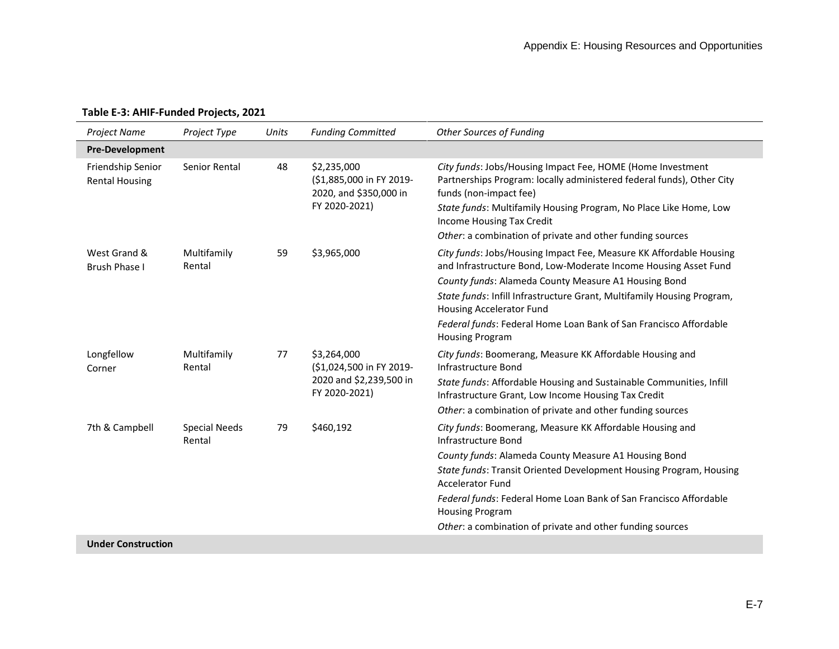<span id="page-6-0"></span>

| Project Name                               | Project Type                   | Units | <b>Funding Committed</b>                                                            | <b>Other Sources of Funding</b>                                                                                                                                                                                                                                                                                                                                                                      |
|--------------------------------------------|--------------------------------|-------|-------------------------------------------------------------------------------------|------------------------------------------------------------------------------------------------------------------------------------------------------------------------------------------------------------------------------------------------------------------------------------------------------------------------------------------------------------------------------------------------------|
| <b>Pre-Development</b>                     |                                |       |                                                                                     |                                                                                                                                                                                                                                                                                                                                                                                                      |
| Friendship Senior<br><b>Rental Housing</b> | Senior Rental                  | 48    | \$2,235,000<br>(\$1,885,000 in FY 2019-<br>2020, and \$350,000 in<br>FY 2020-2021)  | City funds: Jobs/Housing Impact Fee, HOME (Home Investment<br>Partnerships Program: locally administered federal funds), Other City<br>funds (non-impact fee)<br>State funds: Multifamily Housing Program, No Place Like Home, Low<br>Income Housing Tax Credit<br>Other: a combination of private and other funding sources                                                                         |
| West Grand &<br><b>Brush Phase I</b>       | Multifamily<br>Rental          | 59    | \$3,965,000                                                                         | City funds: Jobs/Housing Impact Fee, Measure KK Affordable Housing<br>and Infrastructure Bond, Low-Moderate Income Housing Asset Fund<br>County funds: Alameda County Measure A1 Housing Bond<br>State funds: Infill Infrastructure Grant, Multifamily Housing Program,<br>Housing Accelerator Fund<br>Federal funds: Federal Home Loan Bank of San Francisco Affordable<br><b>Housing Program</b>   |
| Longfellow<br>Corner                       | Multifamily<br>Rental          | 77    | \$3,264,000<br>(\$1,024,500 in FY 2019-<br>2020 and \$2,239,500 in<br>FY 2020-2021) | City funds: Boomerang, Measure KK Affordable Housing and<br>Infrastructure Bond<br>State funds: Affordable Housing and Sustainable Communities, Infill<br>Infrastructure Grant, Low Income Housing Tax Credit<br>Other: a combination of private and other funding sources                                                                                                                           |
| 7th & Campbell                             | <b>Special Needs</b><br>Rental | 79    | \$460,192                                                                           | City funds: Boomerang, Measure KK Affordable Housing and<br>Infrastructure Bond<br>County funds: Alameda County Measure A1 Housing Bond<br>State funds: Transit Oriented Development Housing Program, Housing<br><b>Accelerator Fund</b><br>Federal funds: Federal Home Loan Bank of San Francisco Affordable<br><b>Housing Program</b><br>Other: a combination of private and other funding sources |
| <b>Hadson</b> Completed                    |                                |       |                                                                                     |                                                                                                                                                                                                                                                                                                                                                                                                      |

### **Table E-3: AHIF-Funded Projects, 2021**

**Under Construction**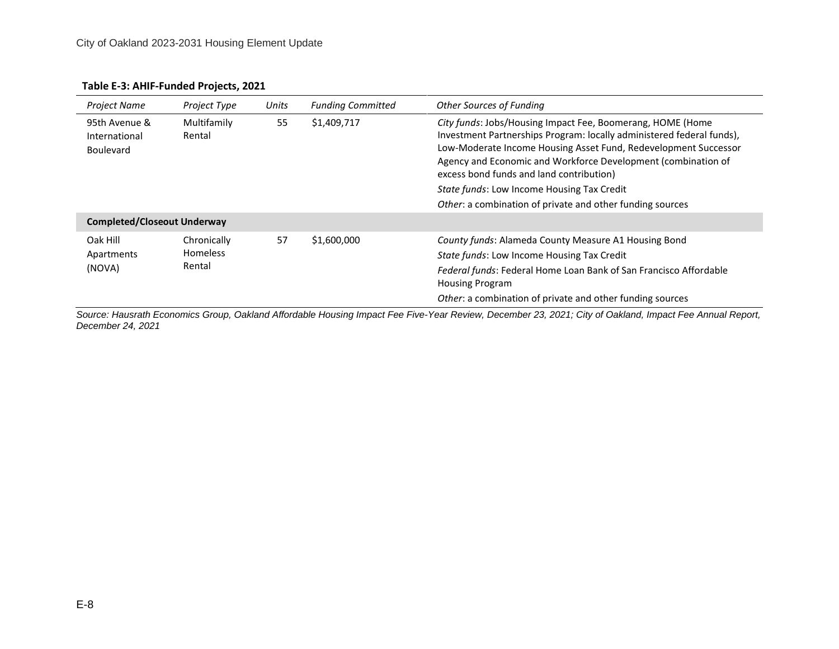| Project Name                                       | Project Type                             | Units | <b>Funding Committed</b> | <b>Other Sources of Funding</b>                                                                                                                                                                                                                                                                                                                                                                                                |
|----------------------------------------------------|------------------------------------------|-------|--------------------------|--------------------------------------------------------------------------------------------------------------------------------------------------------------------------------------------------------------------------------------------------------------------------------------------------------------------------------------------------------------------------------------------------------------------------------|
| 95th Avenue &<br>International<br><b>Boulevard</b> | Multifamily<br>Rental                    | 55    | \$1,409,717              | City funds: Jobs/Housing Impact Fee, Boomerang, HOME (Home<br>Investment Partnerships Program: locally administered federal funds),<br>Low-Moderate Income Housing Asset Fund, Redevelopment Successor<br>Agency and Economic and Workforce Development (combination of<br>excess bond funds and land contribution)<br>State funds: Low Income Housing Tax Credit<br>Other: a combination of private and other funding sources |
| <b>Completed/Closeout Underway</b>                 |                                          |       |                          |                                                                                                                                                                                                                                                                                                                                                                                                                                |
| Oak Hill<br>Apartments<br>(NOVA)                   | Chronically<br><b>Homeless</b><br>Rental | 57    | \$1,600,000              | County funds: Alameda County Measure A1 Housing Bond<br>State funds: Low Income Housing Tax Credit<br>Federal funds: Federal Home Loan Bank of San Francisco Affordable<br><b>Housing Program</b><br>Other: a combination of private and other funding sources                                                                                                                                                                 |

#### **Table E-3: AHIF-Funded Projects, 2021**

*Source: Hausrath Economics Group, Oakland Affordable Housing Impact Fee Five-Year Review, December 23, 2021; City of Oakland, Impact Fee Annual Report, December 24, 2021*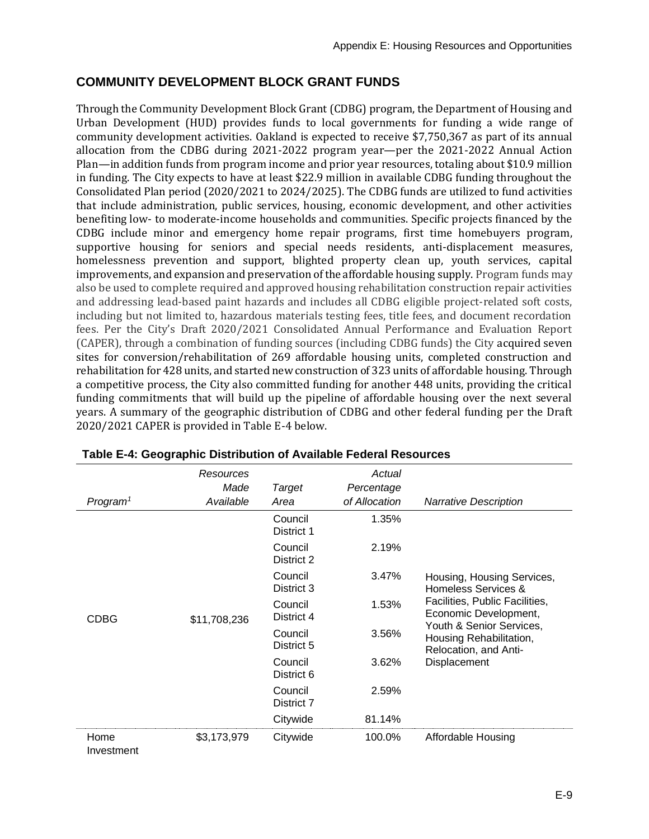### <span id="page-8-0"></span>**COMMUNITY DEVELOPMENT BLOCK GRANT FUNDS**

Through the Community Development Block Grant (CDBG) program, the Department of Housing and Urban Development (HUD) provides funds to local governments for funding a wide range of community development activities. Oakland is expected to receive \$7,750,367 as part of its annual allocation from the CDBG during 2021-2022 program year—per the 2021-2022 Annual Action Plan—in addition funds from program income and prior year resources, totaling about \$10.9 million in funding. The City expects to have at least \$22.9 million in available CDBG funding throughout the Consolidated Plan period (2020/2021 to 2024/2025). The CDBG funds are utilized to fund activities that include administration, public services, housing, economic development, and other activities benefiting low- to moderate-income households and communities. Specific projects financed by the CDBG include minor and emergency home repair programs, first time homebuyers program, supportive housing for seniors and special needs residents, anti-displacement measures, homelessness prevention and support, blighted property clean up, youth services, capital improvements, and expansion and preservation of the affordable housing supply. Program funds may also be used to complete required and approved housing rehabilitation construction repair activities and addressing lead-based paint hazards and includes all CDBG eligible project-related soft costs, including but not limited to, hazardous materials testing fees, title fees, and document recordation fees. Per the City's Draft 2020/2021 Consolidated Annual Performance and Evaluation Report (CAPER), through a combination of funding sources (including CDBG funds) the City acquired seven sites for conversion/rehabilitation of 269 affordable housing units, completed construction and rehabilitation for 428 units, and started new construction of 323 units of affordable housing. Through a competitive process, the City also committed funding for another 448 units, providing the critical funding commitments that will build up the pipeline of affordable housing over the next several years. A summary of the geographic distribution of CDBG and other federal funding per the Draft 2020/2021 CAPER is provided in Table E-4 below.

|                      | Resources<br>Made | <b>Target</b>         | Actual<br>Percentage |                                                                              |
|----------------------|-------------------|-----------------------|----------------------|------------------------------------------------------------------------------|
| Program <sup>1</sup> | Available         | Area                  | of Allocation        | <b>Narrative Description</b>                                                 |
|                      |                   | Council<br>District 1 | 1.35%                |                                                                              |
|                      |                   | Council<br>District 2 | 2.19%                |                                                                              |
|                      |                   | Council<br>District 3 | 3.47%                | Housing, Housing Services,<br>Homeless Services &                            |
| <b>CDBG</b>          | \$11,708,236      | Council<br>District 4 | 1.53%                | Facilities, Public Facilities,<br>Economic Development,                      |
|                      |                   | Council<br>District 5 | 3.56%                | Youth & Senior Services,<br>Housing Rehabilitation,<br>Relocation, and Anti- |
|                      |                   | Council<br>District 6 | 3.62%                | Displacement                                                                 |
|                      |                   | Council<br>District 7 | 2.59%                |                                                                              |
|                      |                   | Citywide              | 81.14%               |                                                                              |
| Home<br>Investment   | \$3,173,979       | Citywide              | 100.0%               | Affordable Housing                                                           |

<span id="page-8-1"></span>

| Table E-4: Geographic Distribution of Available Federal Resources |  |
|-------------------------------------------------------------------|--|
|-------------------------------------------------------------------|--|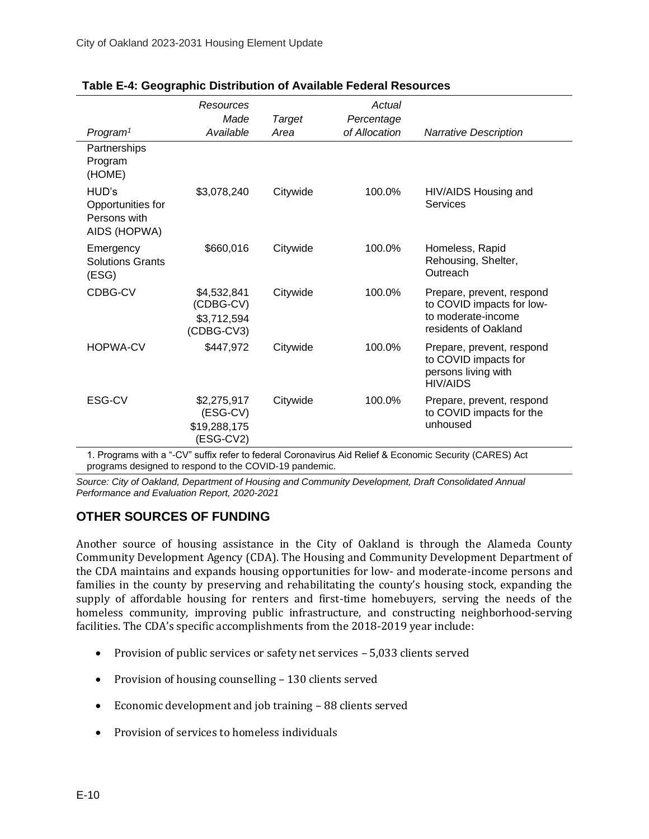|                                                                                                         | Resources<br>Made                                     | <b>Target</b> | Actual<br>Percentage |                                                                                                      |  |
|---------------------------------------------------------------------------------------------------------|-------------------------------------------------------|---------------|----------------------|------------------------------------------------------------------------------------------------------|--|
| Program <sup>1</sup>                                                                                    | Available                                             | Area          | of Allocation        | <b>Narrative Description</b>                                                                         |  |
| Partnerships<br>Program<br>(HOME)                                                                       |                                                       |               |                      |                                                                                                      |  |
| HUD's<br>Opportunities for<br>Persons with<br>AIDS (HOPWA)                                              | \$3,078,240                                           | Citywide      | 100.0%               | HIV/AIDS Housing and<br>Services                                                                     |  |
| Emergency<br><b>Solutions Grants</b><br>(ESG)                                                           | \$660,016                                             | Citywide      | 100.0%               | Homeless, Rapid<br>Rehousing, Shelter,<br>Outreach                                                   |  |
| CDBG-CV                                                                                                 | \$4,532,841<br>(CDBG-CV)<br>\$3,712,594<br>(CDBG-CV3) | Citywide      | 100.0%               | Prepare, prevent, respond<br>to COVID impacts for low-<br>to moderate-income<br>residents of Oakland |  |
| <b>HOPWA-CV</b>                                                                                         | \$447,972                                             | Citywide      | 100.0%               | Prepare, prevent, respond<br>to COVID impacts for<br>persons living with<br><b>HIV/AIDS</b>          |  |
| ESG-CV                                                                                                  | \$2,275,917<br>(ESG-CV)<br>\$19,288,175<br>(ESG-CV2)  | Citywide      | 100.0%               | Prepare, prevent, respond<br>to COVID impacts for the<br>unhoused                                    |  |
| 1. Programa with a " CV" ouffix refer to foderal Coronavirus Aid Poliof & Economic Coourity (CADES) Act |                                                       |               |                      |                                                                                                      |  |

| Table E-4: Geographic Distribution of Available Federal Resources |  |  |  |
|-------------------------------------------------------------------|--|--|--|
|-------------------------------------------------------------------|--|--|--|

1. Programs with a "-CV" suffix refer to federal Coronavirus Aid Relief & Economic Security (CARES) Act programs designed to respond to the COVID-19 pandemic.

*Source: City of Oakland, Department of Housing and Community Development, Draft Consolidated Annual Performance and Evaluation Report, 2020-2021*

### <span id="page-9-0"></span>**OTHER SOURCES OF FUNDING**

Another source of housing assistance in the City of Oakland is through the Alameda County Community Development Agency (CDA). The Housing and Community Development Department of the CDA maintains and expands housing opportunities for low- and moderate-income persons and families in the county by preserving and rehabilitating the county's housing stock, expanding the supply of affordable housing for renters and first-time homebuyers, serving the needs of the homeless community, improving public infrastructure, and constructing neighborhood-serving facilities. The CDA's specific accomplishments from the 2018-2019 year include:

- Provision of public services or safety net services 5,033 clients served
- Provision of housing counselling 130 clients served
- Economic development and job training 88 clients served
- Provision of services to homeless individuals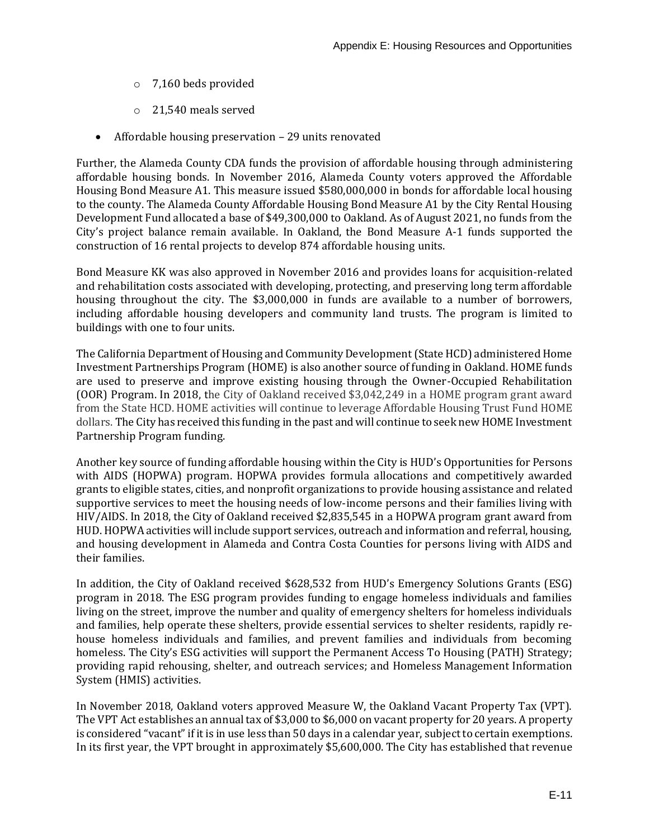- o 7,160 beds provided
- o 21,540 meals served
- Affordable housing preservation 29 units renovated

Further, the Alameda County CDA funds the provision of affordable housing through administering affordable housing bonds. In November 2016, Alameda County voters approved the Affordable Housing Bond Measure A1. This measure issued \$580,000,000 in bonds for affordable local housing to the county. The Alameda County Affordable Housing Bond Measure A1 by the City Rental Housing Development Fund allocated a base of \$49,300,000 to Oakland. As of August 2021, no funds from the City's project balance remain available. In Oakland, the Bond Measure A-1 funds supported the construction of 16 rental projects to develop 874 affordable housing units.

Bond Measure KK was also approved in November 2016 and provides loans for acquisition-related and rehabilitation costs associated with developing, protecting, and preserving long term affordable housing throughout the city. The \$3,000,000 in funds are available to a number of borrowers, including affordable housing developers and community land trusts. The program is limited to buildings with one to four units.

The California Department of Housing and Community Development (State HCD) administered Home Investment Partnerships Program (HOME) is also another source of funding in Oakland. HOME funds are used to preserve and improve existing housing through the Owner-Occupied Rehabilitation (OOR) Program. In 2018, the City of Oakland received \$3,042,249 in a HOME program grant award from the State HCD. HOME activities will continue to leverage Affordable Housing Trust Fund HOME dollars. The City has received this funding in the past and will continue to seek new HOME Investment Partnership Program funding.

Another key source of funding affordable housing within the City is HUD's Opportunities for Persons with AIDS (HOPWA) program. HOPWA provides formula allocations and competitively awarded grants to eligible states, cities, and nonprofit organizations to provide housing assistance and related supportive services to meet the housing needs of low-income persons and their families living with HIV/AIDS. In 2018, the City of Oakland received \$2,835,545 in a HOPWA program grant award from HUD. HOPWA activities will include support services, outreach and information and referral, housing, and housing development in Alameda and Contra Costa Counties for persons living with AIDS and their families.

In addition, the City of Oakland received \$628,532 from HUD's Emergency Solutions Grants (ESG) program in 2018. The ESG program provides funding to engage homeless individuals and families living on the street, improve the number and quality of emergency shelters for homeless individuals and families, help operate these shelters, provide essential services to shelter residents, rapidly rehouse homeless individuals and families, and prevent families and individuals from becoming homeless. The City's ESG activities will support the Permanent Access To Housing (PATH) Strategy; providing rapid rehousing, shelter, and outreach services; and Homeless Management Information System (HMIS) activities.

In November 2018, Oakland voters approved Measure W, the Oakland Vacant Property Tax (VPT). The VPT Act establishes an annual tax of \$3,000 to \$6,000 on vacant property for 20 years. A property is considered "vacant" if it is in use less than 50 days in a calendar year, subject to certain exemptions. In its first year, the VPT brought in approximately \$5,600,000. The City has established that revenue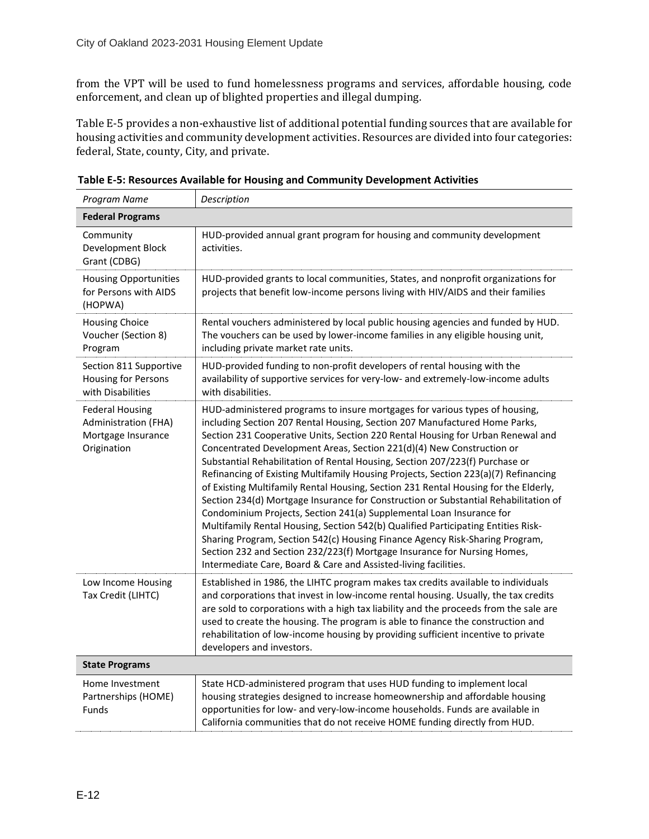from the VPT will be used to fund homelessness programs and services, affordable housing, code enforcement, and clean up of blighted properties and illegal dumping.

Table E-5 provides a non-exhaustive list of additional potential funding sources that are available for housing activities and community development activities. Resources are divided into four categories: federal, State, county, City, and private.

| Program Name                                                                        | Description                                                                                                                                                                                                                                                                                                                                                                                                                                                                                                                                                                                                                                                                                                                                                                                                                                                                                                                                                                                                                                                            |  |  |  |  |  |
|-------------------------------------------------------------------------------------|------------------------------------------------------------------------------------------------------------------------------------------------------------------------------------------------------------------------------------------------------------------------------------------------------------------------------------------------------------------------------------------------------------------------------------------------------------------------------------------------------------------------------------------------------------------------------------------------------------------------------------------------------------------------------------------------------------------------------------------------------------------------------------------------------------------------------------------------------------------------------------------------------------------------------------------------------------------------------------------------------------------------------------------------------------------------|--|--|--|--|--|
| <b>Federal Programs</b>                                                             |                                                                                                                                                                                                                                                                                                                                                                                                                                                                                                                                                                                                                                                                                                                                                                                                                                                                                                                                                                                                                                                                        |  |  |  |  |  |
| Community<br>Development Block<br>Grant (CDBG)                                      | HUD-provided annual grant program for housing and community development<br>activities.                                                                                                                                                                                                                                                                                                                                                                                                                                                                                                                                                                                                                                                                                                                                                                                                                                                                                                                                                                                 |  |  |  |  |  |
| <b>Housing Opportunities</b><br>for Persons with AIDS<br>(HOPWA)                    | HUD-provided grants to local communities, States, and nonprofit organizations for<br>projects that benefit low-income persons living with HIV/AIDS and their families                                                                                                                                                                                                                                                                                                                                                                                                                                                                                                                                                                                                                                                                                                                                                                                                                                                                                                  |  |  |  |  |  |
| <b>Housing Choice</b><br>Voucher (Section 8)<br>Program                             | Rental vouchers administered by local public housing agencies and funded by HUD.<br>The vouchers can be used by lower-income families in any eligible housing unit,<br>including private market rate units.                                                                                                                                                                                                                                                                                                                                                                                                                                                                                                                                                                                                                                                                                                                                                                                                                                                            |  |  |  |  |  |
| Section 811 Supportive<br>Housing for Persons<br>with Disabilities                  | HUD-provided funding to non-profit developers of rental housing with the<br>availability of supportive services for very-low- and extremely-low-income adults<br>with disabilities.                                                                                                                                                                                                                                                                                                                                                                                                                                                                                                                                                                                                                                                                                                                                                                                                                                                                                    |  |  |  |  |  |
| <b>Federal Housing</b><br>Administration (FHA)<br>Mortgage Insurance<br>Origination | HUD-administered programs to insure mortgages for various types of housing,<br>including Section 207 Rental Housing, Section 207 Manufactured Home Parks,<br>Section 231 Cooperative Units, Section 220 Rental Housing for Urban Renewal and<br>Concentrated Development Areas, Section 221(d)(4) New Construction or<br>Substantial Rehabilitation of Rental Housing, Section 207/223(f) Purchase or<br>Refinancing of Existing Multifamily Housing Projects, Section 223(a)(7) Refinancing<br>of Existing Multifamily Rental Housing, Section 231 Rental Housing for the Elderly,<br>Section 234(d) Mortgage Insurance for Construction or Substantial Rehabilitation of<br>Condominium Projects, Section 241(a) Supplemental Loan Insurance for<br>Multifamily Rental Housing, Section 542(b) Qualified Participating Entities Risk-<br>Sharing Program, Section 542(c) Housing Finance Agency Risk-Sharing Program,<br>Section 232 and Section 232/223(f) Mortgage Insurance for Nursing Homes,<br>Intermediate Care, Board & Care and Assisted-living facilities. |  |  |  |  |  |
| Low Income Housing<br>Tax Credit (LIHTC)                                            | Established in 1986, the LIHTC program makes tax credits available to individuals<br>and corporations that invest in low-income rental housing. Usually, the tax credits<br>are sold to corporations with a high tax liability and the proceeds from the sale are<br>used to create the housing. The program is able to finance the construction and<br>rehabilitation of low-income housing by providing sufficient incentive to private<br>developers and investors.                                                                                                                                                                                                                                                                                                                                                                                                                                                                                                                                                                                                 |  |  |  |  |  |
| <b>State Programs</b>                                                               |                                                                                                                                                                                                                                                                                                                                                                                                                                                                                                                                                                                                                                                                                                                                                                                                                                                                                                                                                                                                                                                                        |  |  |  |  |  |
| Home Investment<br>Partnerships (HOME)<br>Funds                                     | State HCD-administered program that uses HUD funding to implement local<br>housing strategies designed to increase homeownership and affordable housing<br>opportunities for low- and very-low-income households. Funds are available in<br>California communities that do not receive HOME funding directly from HUD.                                                                                                                                                                                                                                                                                                                                                                                                                                                                                                                                                                                                                                                                                                                                                 |  |  |  |  |  |

<span id="page-11-0"></span>**Table E-5: Resources Available for Housing and Community Development Activities**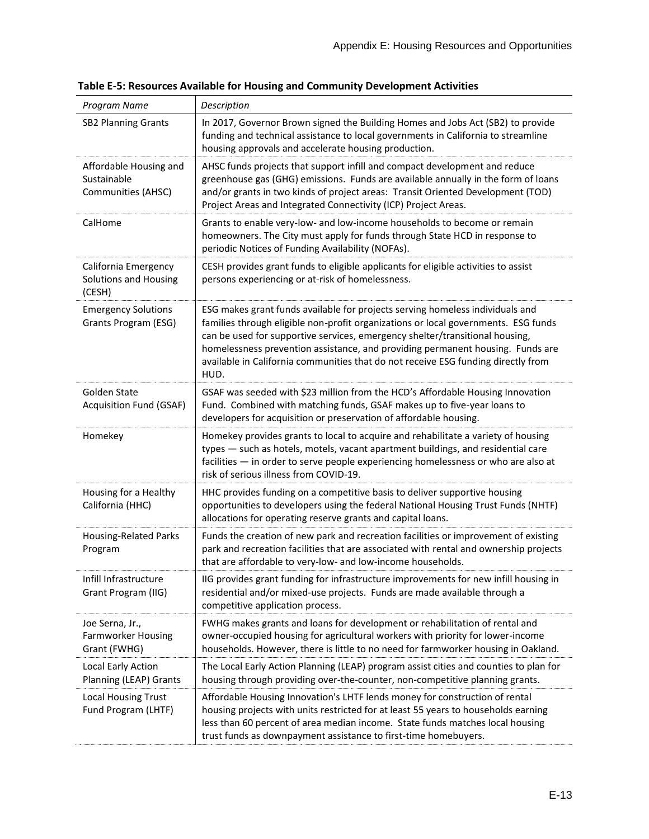| Program Name                                                 | Description                                                                                                                                                                                                                                                                                                                                                                                                                        |
|--------------------------------------------------------------|------------------------------------------------------------------------------------------------------------------------------------------------------------------------------------------------------------------------------------------------------------------------------------------------------------------------------------------------------------------------------------------------------------------------------------|
| <b>SB2 Planning Grants</b>                                   | In 2017, Governor Brown signed the Building Homes and Jobs Act (SB2) to provide<br>funding and technical assistance to local governments in California to streamline<br>housing approvals and accelerate housing production.                                                                                                                                                                                                       |
| Affordable Housing and<br>Sustainable<br>Communities (AHSC)  | AHSC funds projects that support infill and compact development and reduce<br>greenhouse gas (GHG) emissions. Funds are available annually in the form of loans<br>and/or grants in two kinds of project areas: Transit Oriented Development (TOD)<br>Project Areas and Integrated Connectivity (ICP) Project Areas.                                                                                                               |
| CalHome                                                      | Grants to enable very-low- and low-income households to become or remain<br>homeowners. The City must apply for funds through State HCD in response to<br>periodic Notices of Funding Availability (NOFAs).                                                                                                                                                                                                                        |
| California Emergency<br>Solutions and Housing<br>(CESH)      | CESH provides grant funds to eligible applicants for eligible activities to assist<br>persons experiencing or at-risk of homelessness.                                                                                                                                                                                                                                                                                             |
| <b>Emergency Solutions</b><br>Grants Program (ESG)           | ESG makes grant funds available for projects serving homeless individuals and<br>families through eligible non-profit organizations or local governments. ESG funds<br>can be used for supportive services, emergency shelter/transitional housing,<br>homelessness prevention assistance, and providing permanent housing. Funds are<br>available in California communities that do not receive ESG funding directly from<br>HUD. |
| Golden State<br>Acquisition Fund (GSAF)                      | GSAF was seeded with \$23 million from the HCD's Affordable Housing Innovation<br>Fund. Combined with matching funds, GSAF makes up to five-year loans to<br>developers for acquisition or preservation of affordable housing.                                                                                                                                                                                                     |
| Homekey                                                      | Homekey provides grants to local to acquire and rehabilitate a variety of housing<br>types - such as hotels, motels, vacant apartment buildings, and residential care<br>facilities - in order to serve people experiencing homelessness or who are also at<br>risk of serious illness from COVID-19.                                                                                                                              |
| Housing for a Healthy<br>California (HHC)                    | HHC provides funding on a competitive basis to deliver supportive housing<br>opportunities to developers using the federal National Housing Trust Funds (NHTF)<br>allocations for operating reserve grants and capital loans.                                                                                                                                                                                                      |
| <b>Housing-Related Parks</b><br>Program                      | Funds the creation of new park and recreation facilities or improvement of existing<br>park and recreation facilities that are associated with rental and ownership projects<br>that are affordable to very-low- and low-income households.                                                                                                                                                                                        |
| Infill Infrastructure<br>Grant Program (IIG)                 | IIG provides grant funding for infrastructure improvements for new infill housing in<br>residential and/or mixed-use projects. Funds are made available through a<br>competitive application process.                                                                                                                                                                                                                              |
| Joe Serna, Jr.,<br><b>Farmworker Housing</b><br>Grant (FWHG) | FWHG makes grants and loans for development or rehabilitation of rental and<br>owner-occupied housing for agricultural workers with priority for lower-income<br>households. However, there is little to no need for farmworker housing in Oakland.                                                                                                                                                                                |
| Local Early Action<br>Planning (LEAP) Grants                 | The Local Early Action Planning (LEAP) program assist cities and counties to plan for<br>housing through providing over-the-counter, non-competitive planning grants.                                                                                                                                                                                                                                                              |
| <b>Local Housing Trust</b><br>Fund Program (LHTF)            | Affordable Housing Innovation's LHTF lends money for construction of rental<br>housing projects with units restricted for at least 55 years to households earning<br>less than 60 percent of area median income. State funds matches local housing<br>trust funds as downpayment assistance to first-time homebuyers.                                                                                                              |

**Table E-5: Resources Available for Housing and Community Development Activities**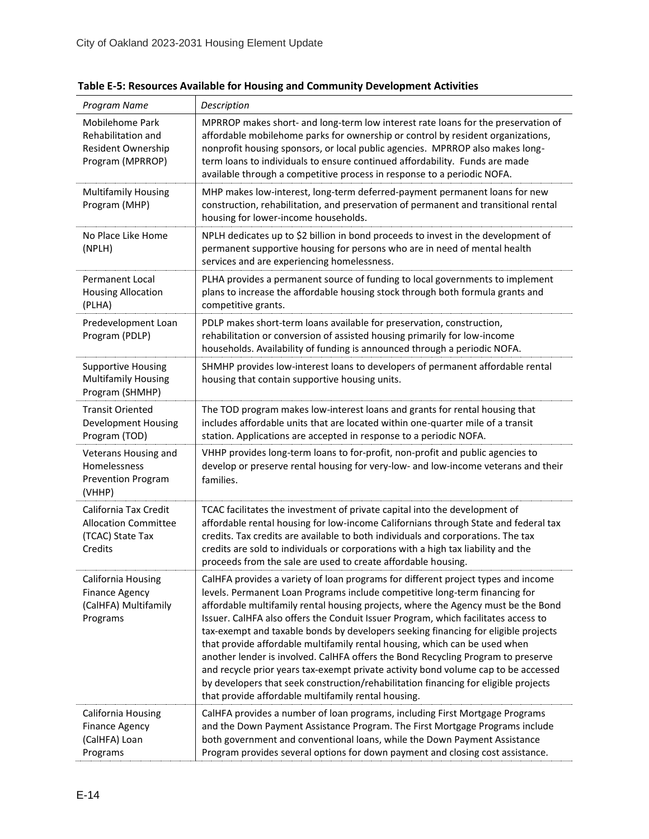| Program Name                                                                           | Description                                                                                                                                                                                                                                                                                                                                                                                                                                                                                                                                                                                                                                                                                                                                                                                                                             |
|----------------------------------------------------------------------------------------|-----------------------------------------------------------------------------------------------------------------------------------------------------------------------------------------------------------------------------------------------------------------------------------------------------------------------------------------------------------------------------------------------------------------------------------------------------------------------------------------------------------------------------------------------------------------------------------------------------------------------------------------------------------------------------------------------------------------------------------------------------------------------------------------------------------------------------------------|
| Mobilehome Park<br>Rehabilitation and<br><b>Resident Ownership</b><br>Program (MPRROP) | MPRROP makes short- and long-term low interest rate loans for the preservation of<br>affordable mobilehome parks for ownership or control by resident organizations,<br>nonprofit housing sponsors, or local public agencies. MPRROP also makes long-<br>term loans to individuals to ensure continued affordability. Funds are made<br>available through a competitive process in response to a periodic NOFA.                                                                                                                                                                                                                                                                                                                                                                                                                         |
| <b>Multifamily Housing</b><br>Program (MHP)                                            | MHP makes low-interest, long-term deferred-payment permanent loans for new<br>construction, rehabilitation, and preservation of permanent and transitional rental<br>housing for lower-income households.                                                                                                                                                                                                                                                                                                                                                                                                                                                                                                                                                                                                                               |
| No Place Like Home<br>(NPLH)                                                           | NPLH dedicates up to \$2 billion in bond proceeds to invest in the development of<br>permanent supportive housing for persons who are in need of mental health<br>services and are experiencing homelessness.                                                                                                                                                                                                                                                                                                                                                                                                                                                                                                                                                                                                                           |
| <b>Permanent Local</b><br><b>Housing Allocation</b><br>(PLHA)                          | PLHA provides a permanent source of funding to local governments to implement<br>plans to increase the affordable housing stock through both formula grants and<br>competitive grants.                                                                                                                                                                                                                                                                                                                                                                                                                                                                                                                                                                                                                                                  |
| Predevelopment Loan<br>Program (PDLP)                                                  | PDLP makes short-term loans available for preservation, construction,<br>rehabilitation or conversion of assisted housing primarily for low-income<br>households. Availability of funding is announced through a periodic NOFA.                                                                                                                                                                                                                                                                                                                                                                                                                                                                                                                                                                                                         |
| <b>Supportive Housing</b><br><b>Multifamily Housing</b><br>Program (SHMHP)             | SHMHP provides low-interest loans to developers of permanent affordable rental<br>housing that contain supportive housing units.                                                                                                                                                                                                                                                                                                                                                                                                                                                                                                                                                                                                                                                                                                        |
| <b>Transit Oriented</b><br><b>Development Housing</b><br>Program (TOD)                 | The TOD program makes low-interest loans and grants for rental housing that<br>includes affordable units that are located within one-quarter mile of a transit<br>station. Applications are accepted in response to a periodic NOFA.                                                                                                                                                                                                                                                                                                                                                                                                                                                                                                                                                                                                    |
| Veterans Housing and<br>Homelessness<br>Prevention Program<br>(VHHP)                   | VHHP provides long-term loans to for-profit, non-profit and public agencies to<br>develop or preserve rental housing for very-low- and low-income veterans and their<br>families.                                                                                                                                                                                                                                                                                                                                                                                                                                                                                                                                                                                                                                                       |
| California Tax Credit<br><b>Allocation Committee</b><br>(TCAC) State Tax<br>Credits    | TCAC facilitates the investment of private capital into the development of<br>affordable rental housing for low-income Californians through State and federal tax<br>credits. Tax credits are available to both individuals and corporations. The tax<br>credits are sold to individuals or corporations with a high tax liability and the<br>proceeds from the sale are used to create affordable housing.                                                                                                                                                                                                                                                                                                                                                                                                                             |
| California Housing<br><b>Finance Agency</b><br>(CalHFA) Multifamily<br>Programs        | CalHFA provides a variety of loan programs for different project types and income<br>levels. Permanent Loan Programs include competitive long-term financing for<br>affordable multifamily rental housing projects, where the Agency must be the Bond<br>Issuer. CalHFA also offers the Conduit Issuer Program, which facilitates access to<br>tax-exempt and taxable bonds by developers seeking financing for eligible projects<br>that provide affordable multifamily rental housing, which can be used when<br>another lender is involved. CalHFA offers the Bond Recycling Program to preserve<br>and recycle prior years tax-exempt private activity bond volume cap to be accessed<br>by developers that seek construction/rehabilitation financing for eligible projects<br>that provide affordable multifamily rental housing. |
| California Housing<br><b>Finance Agency</b><br>(CalHFA) Loan<br>Programs               | CalHFA provides a number of loan programs, including First Mortgage Programs<br>and the Down Payment Assistance Program. The First Mortgage Programs include<br>both government and conventional loans, while the Down Payment Assistance<br>Program provides several options for down payment and closing cost assistance.                                                                                                                                                                                                                                                                                                                                                                                                                                                                                                             |

**Table E-5: Resources Available for Housing and Community Development Activities**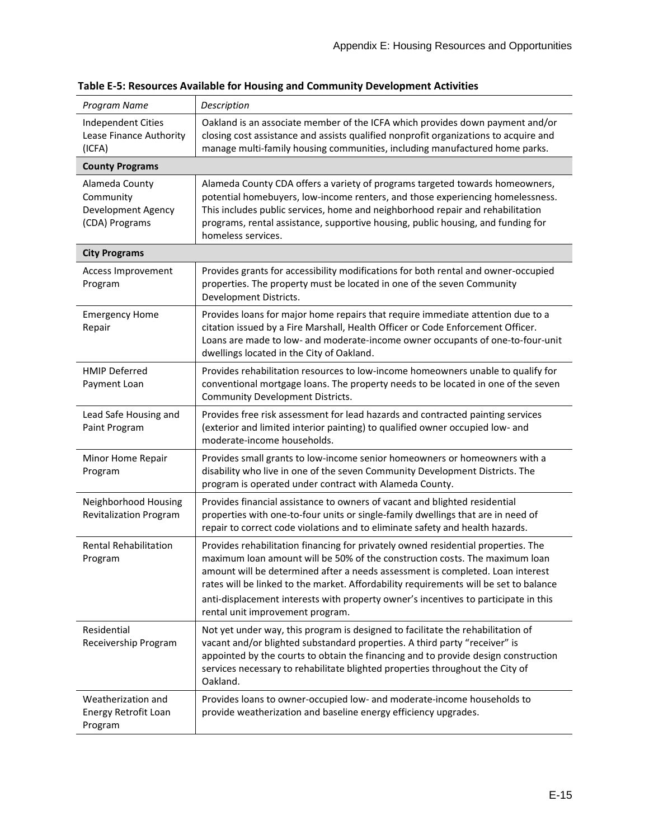| Program Name                                                        | Description                                                                                                                                                                                                                                                                                                                                                                                                                                                            |
|---------------------------------------------------------------------|------------------------------------------------------------------------------------------------------------------------------------------------------------------------------------------------------------------------------------------------------------------------------------------------------------------------------------------------------------------------------------------------------------------------------------------------------------------------|
| <b>Independent Cities</b><br>Lease Finance Authority<br>(ICFA)      | Oakland is an associate member of the ICFA which provides down payment and/or<br>closing cost assistance and assists qualified nonprofit organizations to acquire and<br>manage multi-family housing communities, including manufactured home parks.                                                                                                                                                                                                                   |
| <b>County Programs</b>                                              |                                                                                                                                                                                                                                                                                                                                                                                                                                                                        |
| Alameda County<br>Community<br>Development Agency<br>(CDA) Programs | Alameda County CDA offers a variety of programs targeted towards homeowners,<br>potential homebuyers, low-income renters, and those experiencing homelessness.<br>This includes public services, home and neighborhood repair and rehabilitation<br>programs, rental assistance, supportive housing, public housing, and funding for<br>homeless services.                                                                                                             |
| <b>City Programs</b>                                                |                                                                                                                                                                                                                                                                                                                                                                                                                                                                        |
| Access Improvement<br>Program                                       | Provides grants for accessibility modifications for both rental and owner-occupied<br>properties. The property must be located in one of the seven Community<br>Development Districts.                                                                                                                                                                                                                                                                                 |
| <b>Emergency Home</b><br>Repair                                     | Provides loans for major home repairs that require immediate attention due to a<br>citation issued by a Fire Marshall, Health Officer or Code Enforcement Officer.<br>Loans are made to low- and moderate-income owner occupants of one-to-four-unit<br>dwellings located in the City of Oakland.                                                                                                                                                                      |
| <b>HMIP Deferred</b><br>Payment Loan                                | Provides rehabilitation resources to low-income homeowners unable to qualify for<br>conventional mortgage loans. The property needs to be located in one of the seven<br>Community Development Districts.                                                                                                                                                                                                                                                              |
| Lead Safe Housing and<br>Paint Program                              | Provides free risk assessment for lead hazards and contracted painting services<br>(exterior and limited interior painting) to qualified owner occupied low- and<br>moderate-income households.                                                                                                                                                                                                                                                                        |
| Minor Home Repair<br>Program                                        | Provides small grants to low-income senior homeowners or homeowners with a<br>disability who live in one of the seven Community Development Districts. The<br>program is operated under contract with Alameda County.                                                                                                                                                                                                                                                  |
| Neighborhood Housing<br><b>Revitalization Program</b>               | Provides financial assistance to owners of vacant and blighted residential<br>properties with one-to-four units or single-family dwellings that are in need of<br>repair to correct code violations and to eliminate safety and health hazards.                                                                                                                                                                                                                        |
| Rental Rehabilitation<br>Program                                    | Provides rehabilitation financing for privately owned residential properties. The<br>maximum loan amount will be 50% of the construction costs. The maximum loan<br>amount will be determined after a needs assessment is completed. Loan interest<br>rates will be linked to the market. Affordability requirements will be set to balance<br>anti-displacement interests with property owner's incentives to participate in this<br>rental unit improvement program. |
| Residential<br>Receivership Program                                 | Not yet under way, this program is designed to facilitate the rehabilitation of<br>vacant and/or blighted substandard properties. A third party "receiver" is<br>appointed by the courts to obtain the financing and to provide design construction<br>services necessary to rehabilitate blighted properties throughout the City of<br>Oakland.                                                                                                                       |
| Weatherization and<br>Energy Retrofit Loan<br>Program               | Provides loans to owner-occupied low- and moderate-income households to<br>provide weatherization and baseline energy efficiency upgrades.                                                                                                                                                                                                                                                                                                                             |

**Table E-5: Resources Available for Housing and Community Development Activities**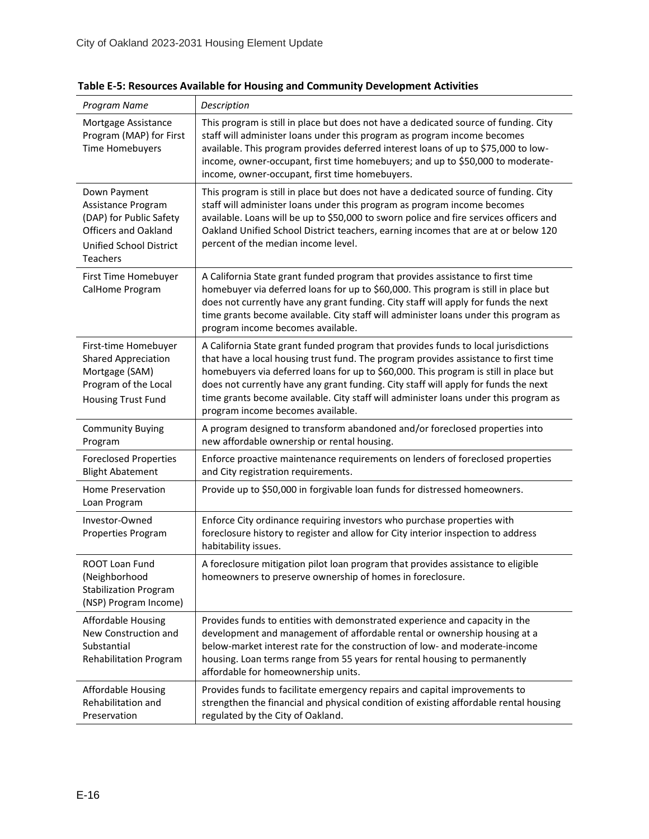| Program Name                                                                                                                               | Description                                                                                                                                                                                                                                                                                                                                                                                                                                                                           |
|--------------------------------------------------------------------------------------------------------------------------------------------|---------------------------------------------------------------------------------------------------------------------------------------------------------------------------------------------------------------------------------------------------------------------------------------------------------------------------------------------------------------------------------------------------------------------------------------------------------------------------------------|
| Mortgage Assistance<br>Program (MAP) for First<br><b>Time Homebuyers</b>                                                                   | This program is still in place but does not have a dedicated source of funding. City<br>staff will administer loans under this program as program income becomes<br>available. This program provides deferred interest loans of up to \$75,000 to low-<br>income, owner-occupant, first time homebuyers; and up to \$50,000 to moderate-<br>income, owner-occupant, first time homebuyers.                                                                                            |
| Down Payment<br>Assistance Program<br>(DAP) for Public Safety<br><b>Officers and Oakland</b><br>Unified School District<br><b>Teachers</b> | This program is still in place but does not have a dedicated source of funding. City<br>staff will administer loans under this program as program income becomes<br>available. Loans will be up to \$50,000 to sworn police and fire services officers and<br>Oakland Unified School District teachers, earning incomes that are at or below 120<br>percent of the median income level.                                                                                               |
| First Time Homebuyer<br>CalHome Program                                                                                                    | A California State grant funded program that provides assistance to first time<br>homebuyer via deferred loans for up to \$60,000. This program is still in place but<br>does not currently have any grant funding. City staff will apply for funds the next<br>time grants become available. City staff will administer loans under this program as<br>program income becomes available.                                                                                             |
| First-time Homebuyer<br><b>Shared Appreciation</b><br>Mortgage (SAM)<br>Program of the Local<br><b>Housing Trust Fund</b>                  | A California State grant funded program that provides funds to local jurisdictions<br>that have a local housing trust fund. The program provides assistance to first time<br>homebuyers via deferred loans for up to \$60,000. This program is still in place but<br>does not currently have any grant funding. City staff will apply for funds the next<br>time grants become available. City staff will administer loans under this program as<br>program income becomes available. |
| <b>Community Buying</b><br>Program                                                                                                         | A program designed to transform abandoned and/or foreclosed properties into<br>new affordable ownership or rental housing.                                                                                                                                                                                                                                                                                                                                                            |
| <b>Foreclosed Properties</b><br><b>Blight Abatement</b>                                                                                    | Enforce proactive maintenance requirements on lenders of foreclosed properties<br>and City registration requirements.                                                                                                                                                                                                                                                                                                                                                                 |
| Home Preservation<br>Loan Program                                                                                                          | Provide up to \$50,000 in forgivable loan funds for distressed homeowners.                                                                                                                                                                                                                                                                                                                                                                                                            |
| Investor-Owned<br>Properties Program                                                                                                       | Enforce City ordinance requiring investors who purchase properties with<br>foreclosure history to register and allow for City interior inspection to address<br>habitability issues.                                                                                                                                                                                                                                                                                                  |
| <b>ROOT Loan Fund</b><br>(Neighborhood<br><b>Stabilization Program</b><br>(NSP) Program Income)                                            | A foreclosure mitigation pilot loan program that provides assistance to eligible<br>homeowners to preserve ownership of homes in foreclosure.                                                                                                                                                                                                                                                                                                                                         |
| <b>Affordable Housing</b><br>New Construction and<br>Substantial<br><b>Rehabilitation Program</b>                                          | Provides funds to entities with demonstrated experience and capacity in the<br>development and management of affordable rental or ownership housing at a<br>below-market interest rate for the construction of low- and moderate-income<br>housing. Loan terms range from 55 years for rental housing to permanently<br>affordable for homeownership units.                                                                                                                           |
| Affordable Housing<br>Rehabilitation and<br>Preservation                                                                                   | Provides funds to facilitate emergency repairs and capital improvements to<br>strengthen the financial and physical condition of existing affordable rental housing<br>regulated by the City of Oakland.                                                                                                                                                                                                                                                                              |

**Table E-5: Resources Available for Housing and Community Development Activities**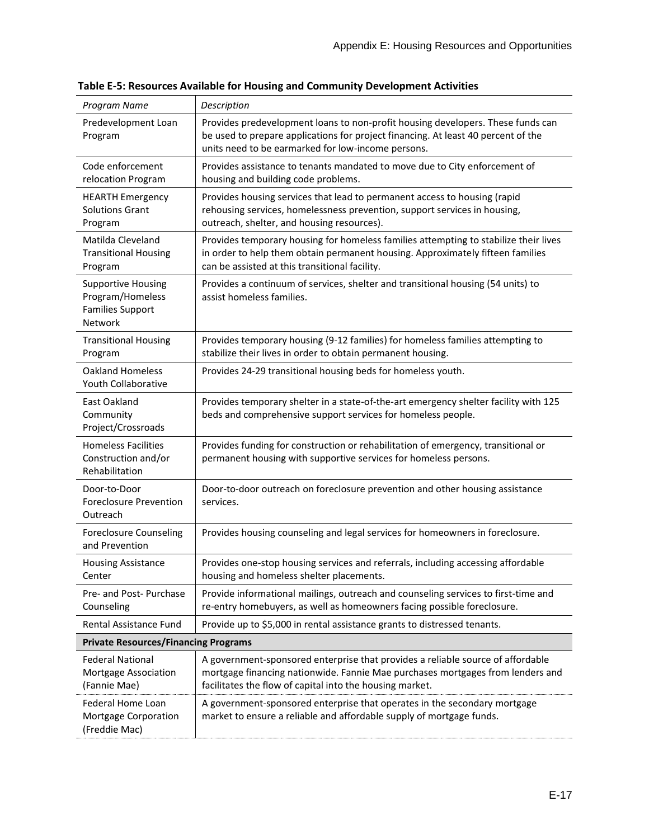| Program Name                                                                        | Description                                                                                                                                                                                                                   |
|-------------------------------------------------------------------------------------|-------------------------------------------------------------------------------------------------------------------------------------------------------------------------------------------------------------------------------|
| Predevelopment Loan<br>Program                                                      | Provides predevelopment loans to non-profit housing developers. These funds can<br>be used to prepare applications for project financing. At least 40 percent of the<br>units need to be earmarked for low-income persons.    |
| Code enforcement<br>relocation Program                                              | Provides assistance to tenants mandated to move due to City enforcement of<br>housing and building code problems.                                                                                                             |
| <b>HEARTH Emergency</b><br><b>Solutions Grant</b><br>Program                        | Provides housing services that lead to permanent access to housing (rapid<br>rehousing services, homelessness prevention, support services in housing,<br>outreach, shelter, and housing resources).                          |
| Matilda Cleveland<br><b>Transitional Housing</b><br>Program                         | Provides temporary housing for homeless families attempting to stabilize their lives<br>in order to help them obtain permanent housing. Approximately fifteen families<br>can be assisted at this transitional facility.      |
| <b>Supportive Housing</b><br>Program/Homeless<br><b>Families Support</b><br>Network | Provides a continuum of services, shelter and transitional housing (54 units) to<br>assist homeless families.                                                                                                                 |
| <b>Transitional Housing</b><br>Program                                              | Provides temporary housing (9-12 families) for homeless families attempting to<br>stabilize their lives in order to obtain permanent housing.                                                                                 |
| <b>Oakland Homeless</b><br>Youth Collaborative                                      | Provides 24-29 transitional housing beds for homeless youth.                                                                                                                                                                  |
| East Oakland<br>Community<br>Project/Crossroads                                     | Provides temporary shelter in a state-of-the-art emergency shelter facility with 125<br>beds and comprehensive support services for homeless people.                                                                          |
| <b>Homeless Facilities</b><br>Construction and/or<br>Rehabilitation                 | Provides funding for construction or rehabilitation of emergency, transitional or<br>permanent housing with supportive services for homeless persons.                                                                         |
| Door-to-Door<br><b>Foreclosure Prevention</b><br>Outreach                           | Door-to-door outreach on foreclosure prevention and other housing assistance<br>services.                                                                                                                                     |
| <b>Foreclosure Counseling</b><br>and Prevention                                     | Provides housing counseling and legal services for homeowners in foreclosure.                                                                                                                                                 |
| <b>Housing Assistance</b><br>Center                                                 | Provides one-stop housing services and referrals, including accessing affordable<br>housing and homeless shelter placements.                                                                                                  |
| Pre- and Post- Purchase<br>Counseling                                               | Provide informational mailings, outreach and counseling services to first-time and<br>re-entry homebuyers, as well as homeowners facing possible foreclosure.                                                                 |
| <b>Rental Assistance Fund</b>                                                       | Provide up to \$5,000 in rental assistance grants to distressed tenants.                                                                                                                                                      |
| <b>Private Resources/Financing Programs</b>                                         |                                                                                                                                                                                                                               |
| <b>Federal National</b><br>Mortgage Association<br>(Fannie Mae)                     | A government-sponsored enterprise that provides a reliable source of affordable<br>mortgage financing nationwide. Fannie Mae purchases mortgages from lenders and<br>facilitates the flow of capital into the housing market. |
| Federal Home Loan<br>Mortgage Corporation<br>(Freddie Mac)                          | A government-sponsored enterprise that operates in the secondary mortgage<br>market to ensure a reliable and affordable supply of mortgage funds.                                                                             |

**Table E-5: Resources Available for Housing and Community Development Activities**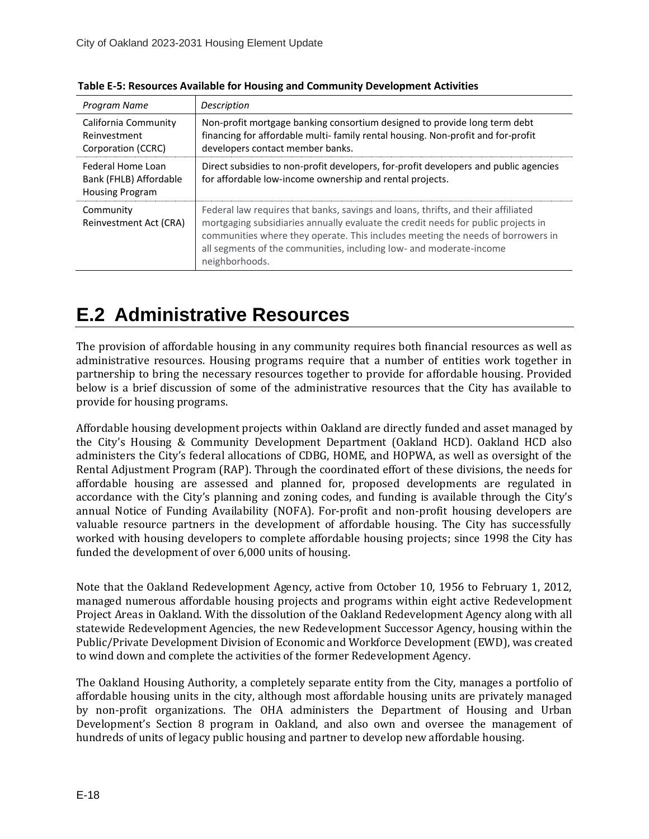| Program Name                                                          | Description                                                                                                                                                                                                                                                                                                                                        |
|-----------------------------------------------------------------------|----------------------------------------------------------------------------------------------------------------------------------------------------------------------------------------------------------------------------------------------------------------------------------------------------------------------------------------------------|
| California Community<br>Reinvestment<br>Corporation (CCRC)            | Non-profit mortgage banking consortium designed to provide long term debt<br>financing for affordable multi-family rental housing. Non-profit and for-profit<br>developers contact member banks.                                                                                                                                                   |
| Federal Home Loan<br>Bank (FHLB) Affordable<br><b>Housing Program</b> | Direct subsidies to non-profit developers, for-profit developers and public agencies<br>for affordable low-income ownership and rental projects.                                                                                                                                                                                                   |
| Community<br>Reinvestment Act (CRA)                                   | Federal law requires that banks, savings and loans, thrifts, and their affiliated<br>mortgaging subsidiaries annually evaluate the credit needs for public projects in<br>communities where they operate. This includes meeting the needs of borrowers in<br>all segments of the communities, including low- and moderate-income<br>neighborhoods. |

**Table E-5: Resources Available for Housing and Community Development Activities**

## <span id="page-17-0"></span>**E.2 Administrative Resources**

The provision of affordable housing in any community requires both financial resources as well as administrative resources. Housing programs require that a number of entities work together in partnership to bring the necessary resources together to provide for affordable housing. Provided below is a brief discussion of some of the administrative resources that the City has available to provide for housing programs.

Affordable housing development projects within Oakland are directly funded and asset managed by the City's Housing & Community Development Department (Oakland HCD). Oakland HCD also administers the City's federal allocations of CDBG, HOME, and HOPWA, as well as oversight of the Rental Adjustment Program (RAP). Through the coordinated effort of these divisions, the needs for affordable housing are assessed and planned for, proposed developments are regulated in accordance with the City's planning and zoning codes, and funding is available through the City's annual Notice of Funding Availability (NOFA). For-profit and non-profit housing developers are valuable resource partners in the development of affordable housing. The City has successfully worked with housing developers to complete affordable housing projects; since 1998 the City has funded the development of over 6,000 units of housing.

Note that the Oakland Redevelopment Agency, active from October 10, 1956 to February 1, 2012, managed numerous affordable housing projects and programs within eight active Redevelopment Project Areas in Oakland. With the dissolution of the Oakland Redevelopment Agency along with all statewide Redevelopment Agencies, the new Redevelopment Successor Agency, housing within the Public/Private Development Division of Economic and Workforce Development (EWD), was created to wind down and complete the activities of the former Redevelopment Agency.

The Oakland Housing Authority, a completely separate entity from the City, manages a portfolio of affordable housing units in the city, although most affordable housing units are privately managed by non-profit organizations. The OHA administers the Department of Housing and Urban Development's Section 8 program in Oakland, and also own and oversee the management of hundreds of units of legacy public housing and partner to develop new affordable housing.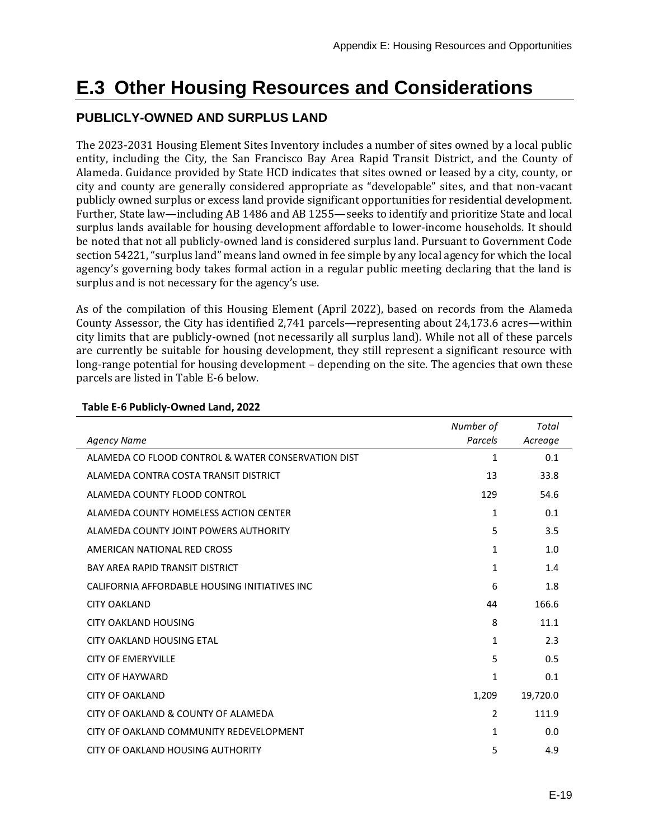# <span id="page-18-0"></span>**E.3 Other Housing Resources and Considerations**

### <span id="page-18-1"></span>**PUBLICLY-OWNED AND SURPLUS LAND**

The 2023-2031 Housing Element Sites Inventory includes a number of sites owned by a local public entity, including the City, the San Francisco Bay Area Rapid Transit District, and the County of Alameda. Guidance provided by State HCD indicates that sites owned or leased by a city, county, or city and county are generally considered appropriate as "developable" sites, and that non-vacant publicly owned surplus or excess land provide significant opportunities for residential development. Further, State law—including AB 1486 and AB 1255—seeks to identify and prioritize State and local surplus lands available for housing development affordable to lower-income households. It should be noted that not all publicly-owned land is considered surplus land. Pursuant to Government Code section 54221, "surplus land" means land owned in fee simple by any local agency for which the local agency's governing body takes formal action in a regular public meeting declaring that the land is surplus and is not necessary for the agency's use.

As of the compilation of this Housing Element (April 2022), based on records from the Alameda County Assessor, the City has identified 2,741 parcels—representing about 24,173.6 acres—within city limits that are publicly-owned (not necessarily all surplus land). While not all of these parcels are currently be suitable for housing development, they still represent a significant resource with long-range potential for housing development – depending on the site. The agencies that own these parcels are listed in Table E-6 below.

|                                                    | Number of     | Total    |
|----------------------------------------------------|---------------|----------|
| <b>Agency Name</b>                                 | Parcels       | Acreage  |
| ALAMEDA CO FLOOD CONTROL & WATER CONSERVATION DIST | 1             | 0.1      |
| ALAMEDA CONTRA COSTA TRANSIT DISTRICT              | 13            | 33.8     |
| ALAMEDA COUNTY FLOOD CONTROL                       | 129           | 54.6     |
| ALAMEDA COUNTY HOMELESS ACTION CENTER              | 1             | 0.1      |
| ALAMEDA COUNTY JOINT POWERS AUTHORITY              | 5             | 3.5      |
| AMERICAN NATIONAL RED CROSS                        | 1             | 1.0      |
| <b>BAY AREA RAPID TRANSIT DISTRICT</b>             | 1             | 1.4      |
| CALIFORNIA AFFORDABLE HOUSING INITIATIVES INC      | 6             | 1.8      |
| <b>CITY OAKLAND</b>                                | 44            | 166.6    |
| <b>CITY OAKLAND HOUSING</b>                        | 8             | 11.1     |
| CITY OAKLAND HOUSING FTAL                          | 1             | 2.3      |
| <b>CITY OF EMERYVILLE</b>                          | 5             | 0.5      |
| <b>CITY OF HAYWARD</b>                             | $\mathbf{1}$  | 0.1      |
| <b>CITY OF OAKLAND</b>                             | 1,209         | 19,720.0 |
| CITY OF OAKLAND & COUNTY OF ALAMEDA                | $\mathcal{P}$ | 111.9    |
| CITY OF OAKLAND COMMUNITY REDEVELOPMENT            | 1             | 0.0      |
| CITY OF OAKLAND HOUSING AUTHORITY                  | 5             | 4.9      |

#### <span id="page-18-2"></span>**Table E-6 Publicly-Owned Land, 2022**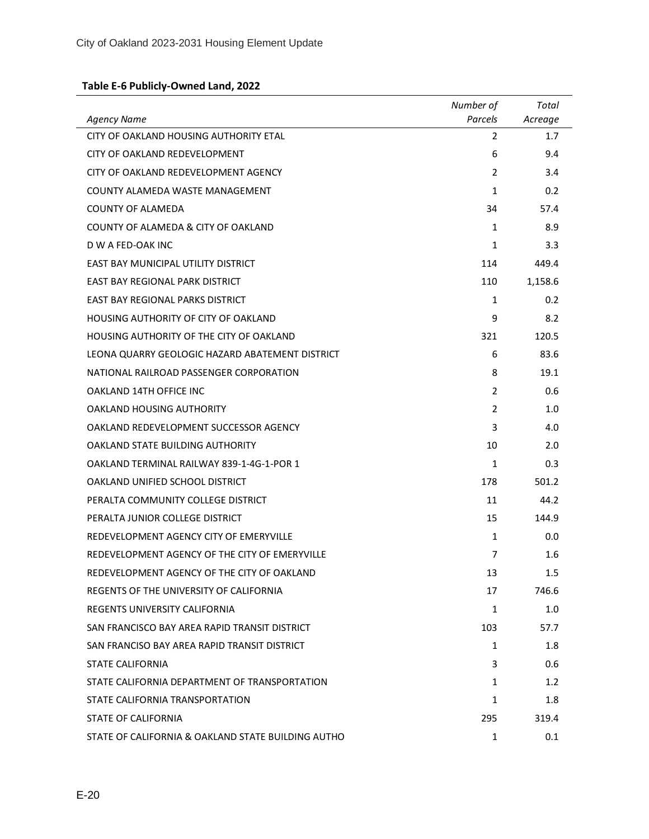## **Table E-6 Publicly-Owned Land, 2022**

| <b>Agency Name</b>                                 | Number of<br>Parcels | Total<br>Acreage |
|----------------------------------------------------|----------------------|------------------|
| CITY OF OAKLAND HOUSING AUTHORITY ETAL             | $\overline{2}$       | 1.7              |
| CITY OF OAKLAND REDEVELOPMENT                      | 6                    | 9.4              |
| CITY OF OAKLAND REDEVELOPMENT AGENCY               | $\mathcal{P}$        | 3.4              |
| COUNTY ALAMEDA WASTE MANAGEMENT                    | $\mathbf{1}$         | 0.2              |
| <b>COUNTY OF ALAMEDA</b>                           | 34                   | 57.4             |
| COUNTY OF ALAMEDA & CITY OF OAKLAND                | 1                    | 8.9              |
| D W A FED-OAK INC                                  | $\mathbf{1}$         | 3.3              |
| EAST BAY MUNICIPAL UTILITY DISTRICT                | 114                  | 449.4            |
| <b>EAST BAY REGIONAL PARK DISTRICT</b>             | 110                  | 1,158.6          |
| EAST BAY REGIONAL PARKS DISTRICT                   | $\mathbf{1}$         | 0.2              |
| <b>HOUSING AUTHORITY OF CITY OF OAKLAND</b>        | 9                    | 8.2              |
| HOUSING AUTHORITY OF THE CITY OF OAKLAND           | 321                  | 120.5            |
| LEONA OUARRY GEOLOGIC HAZARD ABATEMENT DISTRICT    | 6                    | 83.6             |
| NATIONAL RAILROAD PASSENGER CORPORATION            | 8                    | 19.1             |
| <b>OAKLAND 14TH OFFICE INC.</b>                    | 2                    | 0.6              |
| OAKLAND HOUSING AUTHORITY                          | 2                    | 1.0              |
| OAKLAND REDEVELOPMENT SUCCESSOR AGENCY             | 3                    | 4.0              |
| OAKLAND STATE BUILDING AUTHORITY                   | 10                   | 2.0              |
| OAKLAND TERMINAL RAILWAY 839-1-4G-1-POR 1          | $\mathbf{1}$         | 0.3              |
| OAKLAND UNIFIED SCHOOL DISTRICT                    | 178                  | 501.2            |
| PERALTA COMMUNITY COLLEGE DISTRICT                 | 11                   | 44.2             |
| PERALTA JUNIOR COLLEGE DISTRICT                    | 15                   | 144.9            |
| REDEVELOPMENT AGENCY CITY OF EMERYVILLE            | $\mathbf{1}$         | 0.0              |
| REDEVELOPMENT AGENCY OF THE CITY OF EMERYVILLE     | 7                    | 1.6              |
| REDEVELOPMENT AGENCY OF THE CITY OF OAKLAND        | 13                   | $1.5\,$          |
| REGENTS OF THE UNIVERSITY OF CALIFORNIA            | 17                   | 746.6            |
| REGENTS UNIVERSITY CALIFORNIA                      | 1                    | 1.0              |
| SAN FRANCISCO BAY AREA RAPID TRANSIT DISTRICT      | 103                  | 57.7             |
| SAN FRANCISO BAY AREA RAPID TRANSIT DISTRICT       | 1                    | 1.8              |
| <b>STATE CALIFORNIA</b>                            | 3                    | 0.6              |
| STATE CALIFORNIA DEPARTMENT OF TRANSPORTATION      | 1                    | 1.2              |
| STATE CALIFORNIA TRANSPORTATION                    | $\mathbf{1}$         | 1.8              |
| STATE OF CALIFORNIA                                | 295                  | 319.4            |
| STATE OF CALIFORNIA & OAKLAND STATE BUILDING AUTHO | 1                    | 0.1              |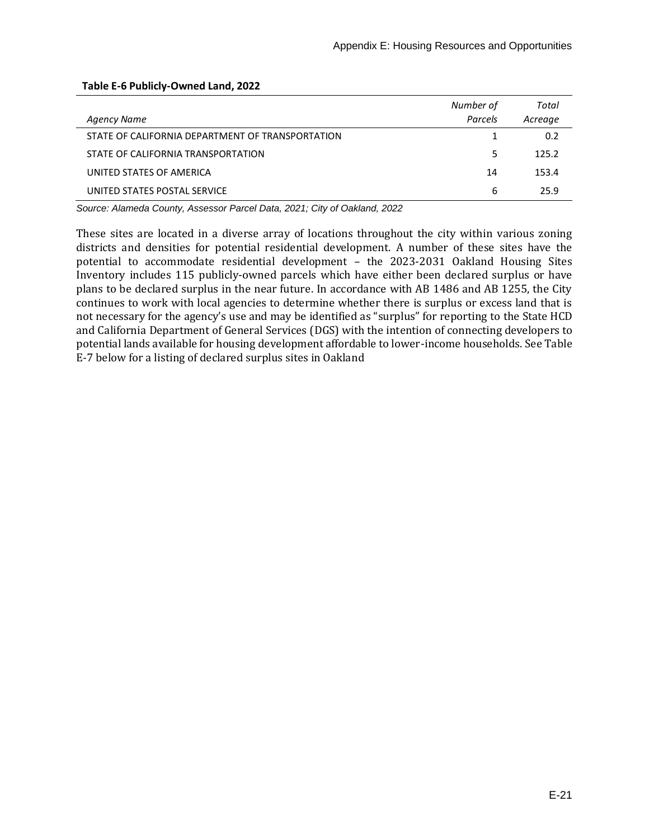| Agency Name                                      | Number of<br>Parcels | Total<br>Acreage |
|--------------------------------------------------|----------------------|------------------|
| STATE OF CALIFORNIA DEPARTMENT OF TRANSPORTATION |                      | 0.2              |
| STATE OF CALIFORNIA TRANSPORTATION               | 5                    | 125.2            |
| UNITED STATES OF AMERICA                         | 14                   | 153.4            |
| UNITED STATES POSTAL SERVICE                     | 6                    | 25.9             |

#### **Table E-6 Publicly-Owned Land, 2022**

*Source: Alameda County, Assessor Parcel Data, 2021; City of Oakland, 2022*

These sites are located in a diverse array of locations throughout the city within various zoning districts and densities for potential residential development. A number of these sites have the potential to accommodate residential development – the 2023-2031 Oakland Housing Sites Inventory includes 115 publicly-owned parcels which have either been declared surplus or have plans to be declared surplus in the near future. In accordance with AB 1486 and AB 1255, the City continues to work with local agencies to determine whether there is surplus or excess land that is not necessary for the agency's use and may be identified as "surplus" for reporting to the State HCD and California Department of General Services (DGS) with the intention of connecting developers to potential lands available for housing development affordable to lower-income households. See Table E-7 below for a listing of declared surplus sites in Oakland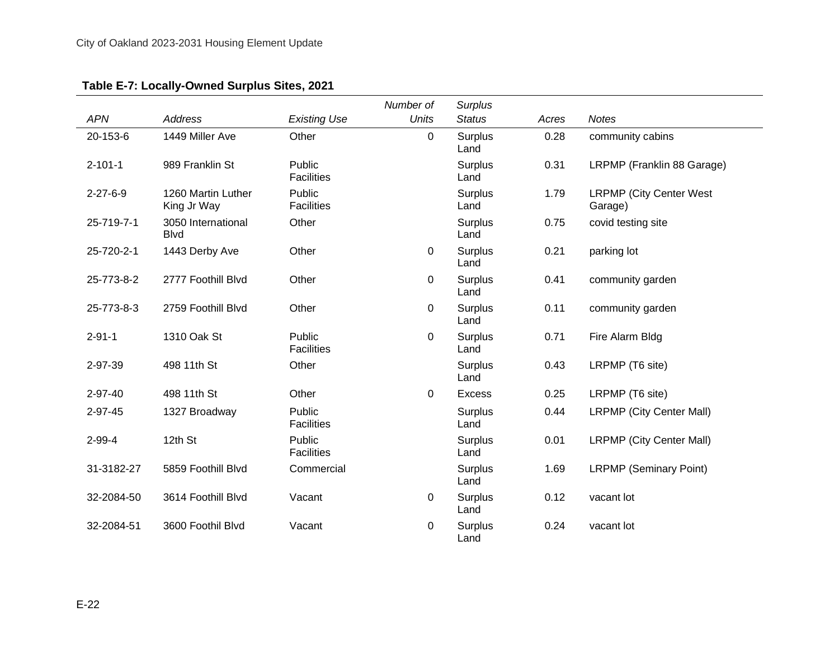## **Table E-7: Locally-Owned Surplus Sites, 2021**

<span id="page-21-0"></span>

|                  |                                    |                             | Number of    | <b>Surplus</b>         |       |                                            |
|------------------|------------------------------------|-----------------------------|--------------|------------------------|-------|--------------------------------------------|
| <b>APN</b>       | <b>Address</b>                     | <b>Existing Use</b>         | <b>Units</b> | <b>Status</b>          | Acres | <b>Notes</b>                               |
| 20-153-6         | 1449 Miller Ave                    | Other                       | 0            | <b>Surplus</b><br>Land | 0.28  | community cabins                           |
| $2 - 101 - 1$    | 989 Franklin St                    | Public<br><b>Facilities</b> |              | <b>Surplus</b><br>Land | 0.31  | LRPMP (Franklin 88 Garage)                 |
| $2 - 27 - 6 - 9$ | 1260 Martin Luther<br>King Jr Way  | Public<br><b>Facilities</b> |              | <b>Surplus</b><br>Land | 1.79  | <b>LRPMP (City Center West)</b><br>Garage) |
| 25-719-7-1       | 3050 International<br><b>B</b> lvd | Other                       |              | <b>Surplus</b><br>Land | 0.75  | covid testing site                         |
| 25-720-2-1       | 1443 Derby Ave                     | Other                       | 0            | Surplus<br>Land        | 0.21  | parking lot                                |
| 25-773-8-2       | 2777 Foothill Blvd                 | Other                       | 0            | Surplus<br>Land        | 0.41  | community garden                           |
| 25-773-8-3       | 2759 Foothill Blvd                 | Other                       | 0            | <b>Surplus</b><br>Land | 0.11  | community garden                           |
| $2 - 91 - 1$     | 1310 Oak St                        | Public<br><b>Facilities</b> | 0            | <b>Surplus</b><br>Land | 0.71  | Fire Alarm Bldg                            |
| 2-97-39          | 498 11th St                        | Other                       |              | Surplus<br>Land        | 0.43  | LRPMP (T6 site)                            |
| 2-97-40          | 498 11th St                        | Other                       | 0            | <b>Excess</b>          | 0.25  | LRPMP (T6 site)                            |
| 2-97-45          | 1327 Broadway                      | Public<br><b>Facilities</b> |              | <b>Surplus</b><br>Land | 0.44  | <b>LRPMP (City Center Mall)</b>            |
| $2 - 99 - 4$     | 12th St                            | Public<br><b>Facilities</b> |              | Surplus<br>Land        | 0.01  | <b>LRPMP (City Center Mall)</b>            |
| 31-3182-27       | 5859 Foothill Blvd                 | Commercial                  |              | Surplus<br>Land        | 1.69  | <b>LRPMP (Seminary Point)</b>              |
| 32-2084-50       | 3614 Foothill Blvd                 | Vacant                      | 0            | <b>Surplus</b><br>Land | 0.12  | vacant lot                                 |
| 32-2084-51       | 3600 Foothil Blvd                  | Vacant                      | 0            | <b>Surplus</b><br>Land | 0.24  | vacant lot                                 |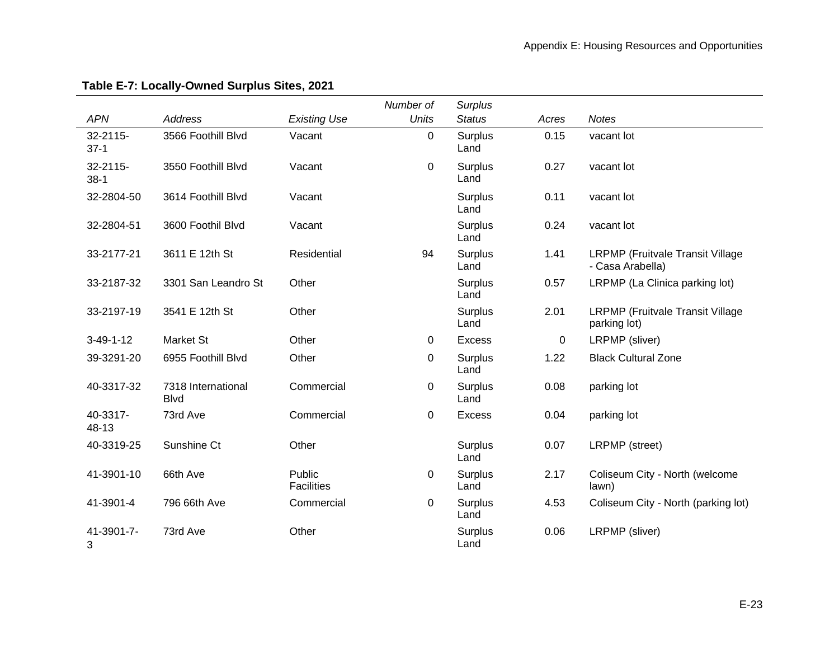|                       |                                   |                             | Number of    | <b>Surplus</b>         |       |                                                             |
|-----------------------|-----------------------------------|-----------------------------|--------------|------------------------|-------|-------------------------------------------------------------|
| <b>APN</b>            | <b>Address</b>                    | <b>Existing Use</b>         | <b>Units</b> | <b>Status</b>          | Acres | <b>Notes</b>                                                |
| 32-2115-<br>$37-1$    | 3566 Foothill Blvd                | Vacant                      | 0            | <b>Surplus</b><br>Land | 0.15  | vacant lot                                                  |
| $32 - 2115$<br>$38-1$ | 3550 Foothill Blvd                | Vacant                      | $\mathbf 0$  | <b>Surplus</b><br>Land | 0.27  | vacant lot                                                  |
| 32-2804-50            | 3614 Foothill Blvd                | Vacant                      |              | Surplus<br>Land        | 0.11  | vacant lot                                                  |
| 32-2804-51            | 3600 Foothil Blvd                 | Vacant                      |              | Surplus<br>Land        | 0.24  | vacant lot                                                  |
| 33-2177-21            | 3611 E 12th St                    | Residential                 | 94           | Surplus<br>Land        | 1.41  | <b>LRPMP</b> (Fruitvale Transit Village<br>- Casa Arabella) |
| 33-2187-32            | 3301 San Leandro St               | Other                       |              | Surplus<br>Land        | 0.57  | LRPMP (La Clinica parking lot)                              |
| 33-2197-19            | 3541 E 12th St                    | Other                       |              | <b>Surplus</b><br>Land | 2.01  | <b>LRPMP</b> (Fruitvale Transit Village<br>parking lot)     |
| $3-49-1-12$           | <b>Market St</b>                  | Other                       | 0            | <b>Excess</b>          | 0     | LRPMP (sliver)                                              |
| 39-3291-20            | 6955 Foothill Blvd                | Other                       | 0            | Surplus<br>Land        | 1.22  | <b>Black Cultural Zone</b>                                  |
| 40-3317-32            | 7318 International<br><b>Blvd</b> | Commercial                  | 0            | Surplus<br>Land        | 0.08  | parking lot                                                 |
| 40-3317-<br>48-13     | 73rd Ave                          | Commercial                  | $\pmb{0}$    | <b>Excess</b>          | 0.04  | parking lot                                                 |
| 40-3319-25            | Sunshine Ct                       | Other                       |              | Surplus<br>Land        | 0.07  | LRPMP (street)                                              |
| 41-3901-10            | 66th Ave                          | Public<br><b>Facilities</b> | 0            | Surplus<br>Land        | 2.17  | Coliseum City - North (welcome<br>lawn)                     |
| 41-3901-4             | 796 66th Ave                      | Commercial                  | 0            | Surplus<br>Land        | 4.53  | Coliseum City - North (parking lot)                         |
| 41-3901-7-<br>3       | 73rd Ave                          | Other                       |              | Surplus<br>Land        | 0.06  | LRPMP (sliver)                                              |

## **Table E-7: Locally-Owned Surplus Sites, 2021**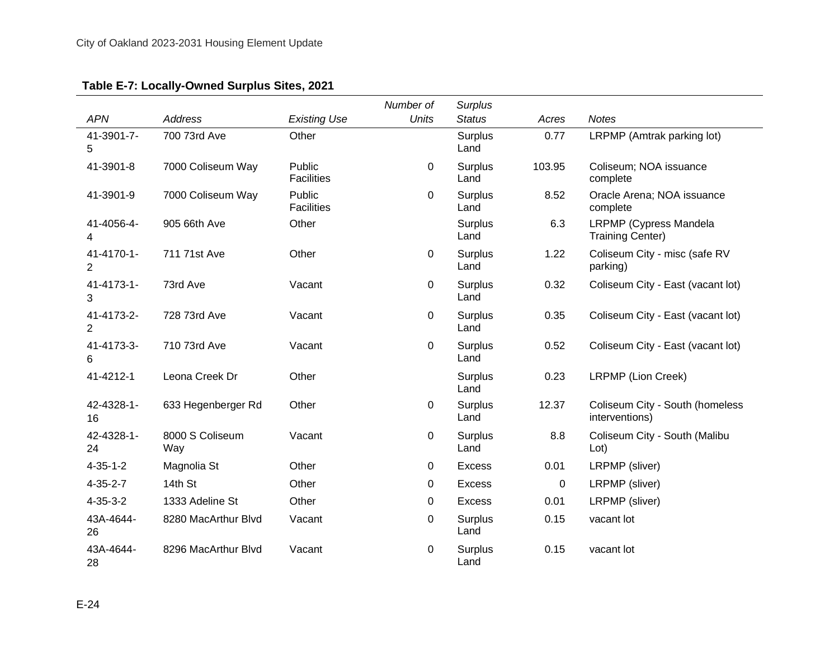| Table E-7: Locally-Owned Surplus Sites, 2021 |
|----------------------------------------------|
|----------------------------------------------|

|                              |                        |                             | Number of    | <b>Surplus</b>         |        |                                                          |
|------------------------------|------------------------|-----------------------------|--------------|------------------------|--------|----------------------------------------------------------|
| <b>APN</b>                   | <b>Address</b>         | <b>Existing Use</b>         | <b>Units</b> | <b>Status</b>          | Acres  | <b>Notes</b>                                             |
| 41-3901-7-<br>5              | 700 73rd Ave           | Other                       |              | <b>Surplus</b><br>Land | 0.77   | LRPMP (Amtrak parking lot)                               |
| 41-3901-8                    | 7000 Coliseum Way      | Public<br><b>Facilities</b> | 0            | Surplus<br>Land        | 103.95 | Coliseum; NOA issuance<br>complete                       |
| 41-3901-9                    | 7000 Coliseum Way      | Public<br><b>Facilities</b> | 0            | <b>Surplus</b><br>Land | 8.52   | Oracle Arena; NOA issuance<br>complete                   |
| 41-4056-4-<br>4              | 905 66th Ave           | Other                       |              | Surplus<br>Land        | 6.3    | <b>LRPMP</b> (Cypress Mandela<br><b>Training Center)</b> |
| 41-4170-1-<br>2              | 711 71st Ave           | Other                       | 0            | Surplus<br>Land        | 1.22   | Coliseum City - misc (safe RV<br>parking)                |
| 41-4173-1-<br>3              | 73rd Ave               | Vacant                      | 0            | <b>Surplus</b><br>Land | 0.32   | Coliseum City - East (vacant lot)                        |
| 41-4173-2-<br>$\overline{2}$ | 728 73rd Ave           | Vacant                      | 0            | Surplus<br>Land        | 0.35   | Coliseum City - East (vacant lot)                        |
| 41-4173-3-<br>6              | 710 73rd Ave           | Vacant                      | 0            | <b>Surplus</b><br>Land | 0.52   | Coliseum City - East (vacant lot)                        |
| 41-4212-1                    | Leona Creek Dr         | Other                       |              | Surplus<br>Land        | 0.23   | LRPMP (Lion Creek)                                       |
| 42-4328-1-<br>16             | 633 Hegenberger Rd     | Other                       | 0            | Surplus<br>Land        | 12.37  | Coliseum City - South (homeless<br>interventions)        |
| 42-4328-1-<br>24             | 8000 S Coliseum<br>Way | Vacant                      | 0            | Surplus<br>Land        | 8.8    | Coliseum City - South (Malibu<br>Lot)                    |
| $4 - 35 - 1 - 2$             | Magnolia St            | Other                       | 0            | <b>Excess</b>          | 0.01   | LRPMP (sliver)                                           |
| $4 - 35 - 2 - 7$             | 14th St                | Other                       | 0            | <b>Excess</b>          | 0      | LRPMP (sliver)                                           |
| $4 - 35 - 3 - 2$             | 1333 Adeline St        | Other                       | 0            | <b>Excess</b>          | 0.01   | LRPMP (sliver)                                           |
| 43A-4644-<br>26              | 8280 MacArthur Blvd    | Vacant                      | 0            | Surplus<br>Land        | 0.15   | vacant lot                                               |
| 43A-4644-<br>28              | 8296 MacArthur Blvd    | Vacant                      | 0            | Surplus<br>Land        | 0.15   | vacant lot                                               |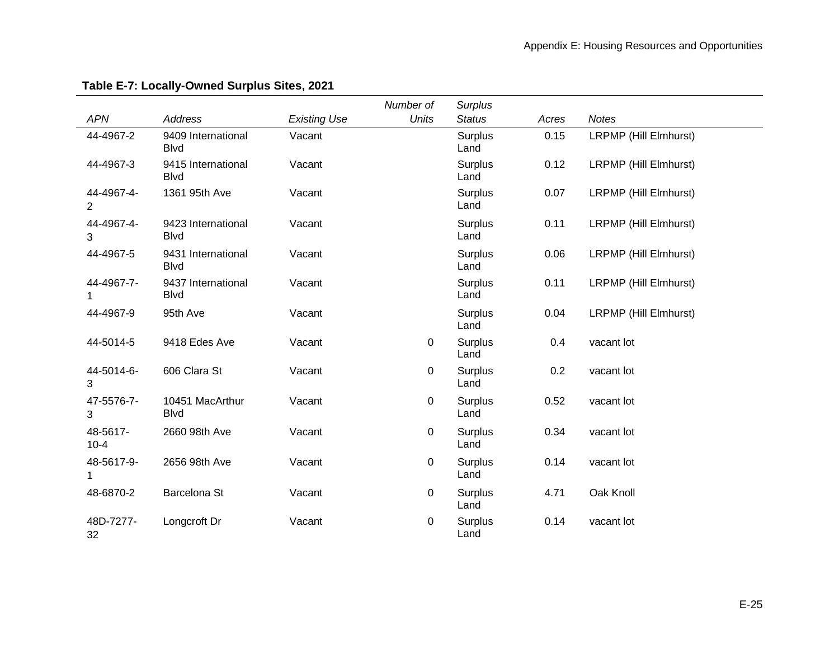|                              |                                    |                     | Number of    | <b>Surplus</b>         |       |                       |
|------------------------------|------------------------------------|---------------------|--------------|------------------------|-------|-----------------------|
| <b>APN</b>                   | <b>Address</b>                     | <b>Existing Use</b> | <b>Units</b> | <b>Status</b>          | Acres | <b>Notes</b>          |
| 44-4967-2                    | 9409 International<br><b>Blvd</b>  | Vacant              |              | <b>Surplus</b><br>Land | 0.15  | LRPMP (Hill Elmhurst) |
| 44-4967-3                    | 9415 International<br><b>B</b> lvd | Vacant              |              | Surplus<br>Land        | 0.12  | LRPMP (Hill Elmhurst) |
| 44-4967-4-<br>$\overline{2}$ | 1361 95th Ave                      | Vacant              |              | <b>Surplus</b><br>Land | 0.07  | LRPMP (Hill Elmhurst) |
| 44-4967-4-<br>3              | 9423 International<br><b>B</b> lvd | Vacant              |              | Surplus<br>Land        | 0.11  | LRPMP (Hill Elmhurst) |
| 44-4967-5                    | 9431 International<br><b>Blvd</b>  | Vacant              |              | Surplus<br>Land        | 0.06  | LRPMP (Hill Elmhurst) |
| 44-4967-7-                   | 9437 International<br><b>Blvd</b>  | Vacant              |              | <b>Surplus</b><br>Land | 0.11  | LRPMP (Hill Elmhurst) |
| 44-4967-9                    | 95th Ave                           | Vacant              |              | Surplus<br>Land        | 0.04  | LRPMP (Hill Elmhurst) |
| 44-5014-5                    | 9418 Edes Ave                      | Vacant              | 0            | Surplus<br>Land        | 0.4   | vacant lot            |
| 44-5014-6-<br>3              | 606 Clara St                       | Vacant              | 0            | <b>Surplus</b><br>Land | 0.2   | vacant lot            |
| 47-5576-7-<br>3              | 10451 MacArthur<br><b>B</b> lvd    | Vacant              | 0            | <b>Surplus</b><br>Land | 0.52  | vacant lot            |
| 48-5617-<br>$10 - 4$         | 2660 98th Ave                      | Vacant              | 0            | Surplus<br>Land        | 0.34  | vacant lot            |
| 48-5617-9-                   | 2656 98th Ave                      | Vacant              | 0            | <b>Surplus</b><br>Land | 0.14  | vacant lot            |
| 48-6870-2                    | Barcelona St                       | Vacant              | 0            | Surplus<br>Land        | 4.71  | Oak Knoll             |
| 48D-7277-<br>32              | Longcroft Dr                       | Vacant              | 0            | Surplus<br>Land        | 0.14  | vacant lot            |

## **Table E-7: Locally-Owned Surplus Sites, 2021**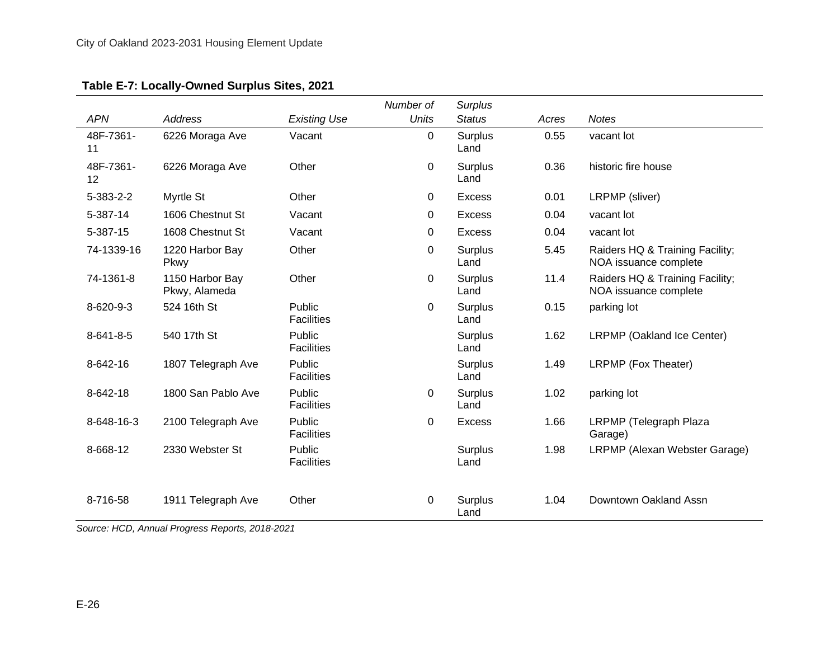| Table E-7: Locally-Owned Surplus Sites, 2021 |
|----------------------------------------------|
|----------------------------------------------|

|                   |                                  |                             | Number of    | <b>Surplus</b>         |       |                                                          |
|-------------------|----------------------------------|-----------------------------|--------------|------------------------|-------|----------------------------------------------------------|
| <b>APN</b>        | Address                          | <b>Existing Use</b>         | <b>Units</b> | <b>Status</b>          | Acres | <b>Notes</b>                                             |
| 48F-7361-<br>11   | 6226 Moraga Ave                  | Vacant                      | 0            | <b>Surplus</b><br>Land | 0.55  | vacant lot                                               |
| 48F-7361-<br>12   | 6226 Moraga Ave                  | Other                       | 0            | Surplus<br>Land        | 0.36  | historic fire house                                      |
| $5 - 383 - 2 - 2$ | Myrtle St                        | Other                       | 0            | Excess                 | 0.01  | LRPMP (sliver)                                           |
| 5-387-14          | 1606 Chestnut St                 | Vacant                      | 0            | <b>Excess</b>          | 0.04  | vacant lot                                               |
| 5-387-15          | 1608 Chestnut St                 | Vacant                      | 0            | <b>Excess</b>          | 0.04  | vacant lot                                               |
| 74-1339-16        | 1220 Harbor Bay<br>Pkwy          | Other                       | 0            | Surplus<br>Land        | 5.45  | Raiders HQ & Training Facility;<br>NOA issuance complete |
| 74-1361-8         | 1150 Harbor Bay<br>Pkwy, Alameda | Other                       | 0            | Surplus<br>Land        | 11.4  | Raiders HQ & Training Facility;<br>NOA issuance complete |
| 8-620-9-3         | 524 16th St                      | Public<br><b>Facilities</b> | 0            | Surplus<br>Land        | 0.15  | parking lot                                              |
| $8 - 641 - 8 - 5$ | 540 17th St                      | Public<br><b>Facilities</b> |              | Surplus<br>Land        | 1.62  | LRPMP (Oakland Ice Center)                               |
| 8-642-16          | 1807 Telegraph Ave               | Public<br><b>Facilities</b> |              | Surplus<br>Land        | 1.49  | LRPMP (Fox Theater)                                      |
| 8-642-18          | 1800 San Pablo Ave               | Public<br><b>Facilities</b> | 0            | Surplus<br>Land        | 1.02  | parking lot                                              |
| 8-648-16-3        | 2100 Telegraph Ave               | Public<br><b>Facilities</b> | 0            | <b>Excess</b>          | 1.66  | LRPMP (Telegraph Plaza<br>Garage)                        |
| 8-668-12          | 2330 Webster St                  | Public<br><b>Facilities</b> |              | <b>Surplus</b><br>Land | 1.98  | LRPMP (Alexan Webster Garage)                            |
| 8-716-58          | 1911 Telegraph Ave               | Other                       | 0            | Surplus<br>Land        | 1.04  | Downtown Oakland Assn                                    |

*Source: HCD, Annual Progress Reports, 2018-2021*